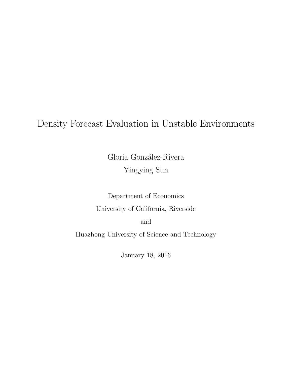# Density Forecast Evaluation in Unstable Environments

Gloria González-Rivera Yingying Sun

Department of Economics University of California, Riverside and Huazhong University of Science and Technology

January 18, 2016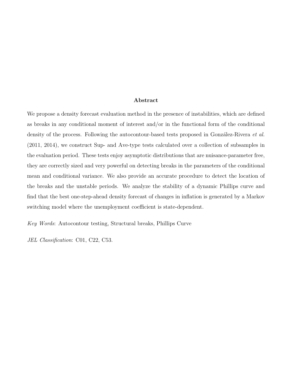#### Abstract

We propose a density forecast evaluation method in the presence of instabilities, which are defined as breaks in any conditional moment of interest and/or in the functional form of the conditional density of the process. Following the autocontour-based tests proposed in González-Rivera *et al.* (2011, 2014), we construct Sup- and Ave-type tests calculated over a collection of subsamples in the evaluation period. These tests enjoy asymptotic distributions that are nuisance-parameter free, they are correctly sized and very powerful on detecting breaks in the parameters of the conditional mean and conditional variance. We also provide an accurate procedure to detect the location of the breaks and the unstable periods. We analyze the stability of a dynamic Phillips curve and find that the best one-step-ahead density forecast of changes in inflation is generated by a Markov switching model where the unemployment coefficient is state-dependent.

Key Words: Autocontour testing, Structural breaks, Phillips Curve

JEL Classification: C01, C22, C53.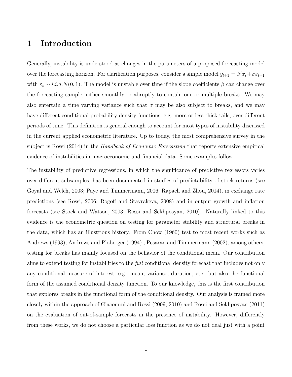# 1 Introduction

Generally, instability is understood as changes in the parameters of a proposed forecasting model over the forecasting horizon. For clarification purposes, consider a simple model  $y_{t+1} = \beta' x_t + \sigma \epsilon_{t+1}$ with  $\varepsilon_t \sim i.i.d.N(0,1)$ . The model is unstable over time if the slope coefficients  $\beta$  can change over the forecasting sample, either smoothly or abruptly to contain one or multiple breaks. We may also entertain a time varying variance such that  $\sigma$  may be also subject to breaks, and we may have different conditional probability density functions, e.g. more or less thick tails, over different periods of time. This definition is general enough to account for most types of instability discussed in the current applied econometric literature. Up to today, the most comprehensive survey in the subject is Rossi (2014) in the *Handbook of Economic Forecasting* that reports extensive empirical evidence of instabilities in macroeconomic and financial data. Some examples follow.

The instability of predictive regressions, in which the significance of predictive regressors varies over different subsamples, has been documented in studies of predictability of stock returns (see Goyal and Welch, 2003; Paye and Timmermann, 2006; Rapach and Zhou, 2014), in exchange rate predictions (see Rossi, 2006; Rogoff and Stavrakeva, 2008) and in output growth and inflation forecasts (see Stock and Watson, 2003; Rossi and Sekhposyan, 2010). Naturally linked to this evidence is the econometric question on testing for parameter stability and structural breaks in the data, which has an illustrious history. From Chow (1960) test to most recent works such as Andrews (1993), Andrews and Ploberger (1994) , Pesaran and Timmermann (2002), among others, testing for breaks has mainly focused on the behavior of the conditional mean. Our contribution aims to extend testing for instabilities to the *full* conditional density forecast that includes not only any conditional measure of interest, e.g. mean, variance, duration, etc. but also the functional form of the assumed conditional density function. To our knowledge, this is the first contribution that explores breaks in the functional form of the conditional density. Our analysis is framed more closely within the approach of Giacomini and Rossi (2009, 2010) and Rossi and Sekhposyan (2011) on the evaluation of out-of-sample forecasts in the presence of instability. However, differently from these works, we do not choose a particular loss function as we do not deal just with a point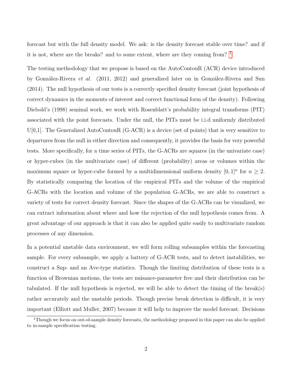forecast but with the full density model. We ask: is the density forecast stable over time? and if it is not, where are the breaks? and to some extent, where are they coming from? [1](#page-3-0)

The testing methodology that we propose is based on the AutoContouR (ACR) device introduced by González-Rivera *et al.* (2011, 2012) and generalized later on in González-Rivera and Sun (2014). The null hypothesis of our tests is a correctly specified density forecast (joint hypothesis of correct dynamics in the moments of interest and correct functional form of the density). Following Diebold's (1998) seminal work, we work with Rosenblatt's probability integral transforms (PIT) associated with the point forecasts. Under the null, the PITs must be i.i.d uniformly distributed  $U[0,1]$ . The Generalized AutoContouR (G-ACR) is a device (set of points) that is very sensitive to departures from the null in either direction and consequently, it provides the basis for very powerful tests. More specifically, for a time series of PITs, the G-ACRs are squares (in the univariate case) or hyper-cubes (in the multivariate case) of different (probability) areas or volumes within the maximum square or hyper-cube formed by a multidimensional uniform density  $[0, 1]^n$  for  $n \geq 2$ . By statistically comparing the location of the empirical PITs and the volume of the empirical G-ACRs with the location and volume of the population G-ACRs, we are able to construct a variety of tests for correct density forecast. Since the shapes of the G-ACRs can be visualized, we can extract information about where and how the rejection of the null hypothesis comes from. A great advantage of our approach is that it can also be applied quite easily to multivariate random processes of any dimension.

In a potential unstable data environment, we will form rolling subsamples within the forecasting sample. For every subsample, we apply a battery of G-ACR tests, and to detect instabilities, we construct a Sup- and an Ave-type statistics. Though the limiting distribution of these tests is a function of Brownian motions, the tests are nuisance-parameter free and their distribution can be tabulated. If the null hypothesis is rejected, we will be able to detect the timing of the break(s) rather accurately and the unstable periods. Though precise break detection is difficult, it is very important (Elliott and Muller, 2007) because it will help to improve the model forecast. Decisions

<span id="page-3-0"></span><sup>&</sup>lt;sup>1</sup>Though we focus on out-of-sample density forecasts, the methodology proposed in this paper can also be applied to in-sample specification testing.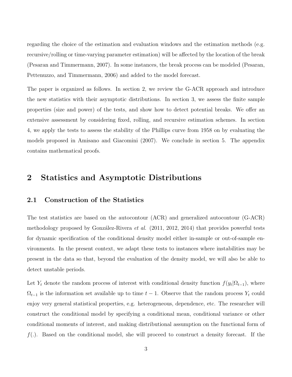regarding the choice of the estimation and evaluation windows and the estimation methods (e.g. recursive/rolling or time-varying parameter estimation) will be affected by the location of the break (Pesaran and Timmermann, 2007). In some instances, the break process can be modeled (Pesaran, Pettenuzzo, and Timmermann, 2006) and added to the model forecast.

The paper is organized as follows. In section 2, we review the G-ACR approach and introduce the new statistics with their asymptotic distributions. In section 3, we assess the finite sample properties (size and power) of the tests, and show how to detect potential breaks. We offer an extensive assessment by considering fixed, rolling, and recursive estimation schemes. In section 4, we apply the tests to assess the stability of the Phillips curve from 1958 on by evaluating the models proposed in Amisano and Giacomini (2007). We conclude in section 5. The appendix contains mathematical proofs.

# 2 Statistics and Asymptotic Distributions

## 2.1 Construction of the Statistics

The test statistics are based on the autocontour (ACR) and generalized autocontour (G-ACR) methodology proposed by González-Rivera *et al.*  $(2011, 2012, 2014)$  that provides powerful tests for dynamic specification of the conditional density model either in-sample or out-of-sample environments. In the present context, we adapt these tests to instances where instabilities may be present in the data so that, beyond the evaluation of the density model, we will also be able to detect unstable periods.

Let  $Y_t$  denote the random process of interest with conditional density function  $f(y_t|\Omega_{t-1})$ , where  $\Omega_{t-1}$  is the information set available up to time  $t-1$ . Observe that the random process  $Y_t$  could enjoy very general statistical properties, e.g. heterogeneous, dependence, etc. The researcher will construct the conditional model by specifying a conditional mean, conditional variance or other conditional moments of interest, and making distributional assumption on the functional form of  $f(.)$ . Based on the conditional model, she will proceed to construct a density forecast. If the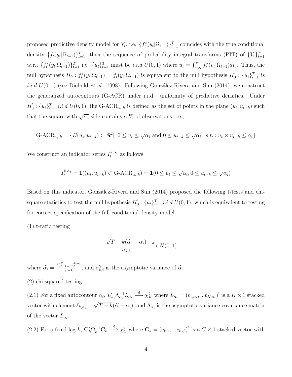proposed predictive density model for  $Y_t$ , i.e.  $\{f_t^*(y_t|\Omega_{t-1})\}_{t=1}^T$  coincides with the true conditional density  $\{f_t(y_t|\Omega_{t-1})\}_{t=1}^T$ , then the sequence of probability integral transforms (PIT) of  $\{Y_t\}_{t=1}^T$ w.r.t  $\{f_t^*(y_t|\Omega_{t-1})\}_{t=1}^T$  i.e.  $\{u_t\}_{t=1}^T$  must be *i.i.d*  $U(0, 1)$  where  $u_t = \int_{-\infty}^{y_t} f_t^*(v_t|\Omega_{t-1}) dv_t$ . Thus, the null hypothesis  $H_0: f_t^*(y_t | \Omega_{t-1}) = f_t(y_t | \Omega_{t-1})$  is equivalent to the null hypothesis  $H_0'$  $y_0'$  :  $\{u_t\}_{t=1}^T$  is *i.i.d*  $U(0, 1)$  (see Diebold *et al.*, 1998). Following González-Rivera and Sun (2014), we construct the generalized autocontours (G-ACR) under i.i.d. uniformity of predictive densities. Under  $H_0^{'}$  $\mathcal{L}_0':\{u_t\}_{t=1}^T i.i.d U(0,1)$ , the G-ACR<sub> $\alpha_i,k$ </sub> is defined as the set of points in the plane  $(u_t, u_{t-k})$  such that the square with  $\sqrt{\alpha_i}$ -side contains  $\alpha_i$ % of observations, i.e.,

$$
\text{G-ACR}_{\alpha_i,k} = \{ B(u_t, u_{t-k}) \subset \mathbb{R}^2 \mid 0 \le u_t \le \sqrt{\alpha_i} \text{ and } 0 \le u_{t-k} \le \sqrt{\alpha_i}, \text{ s.t. : } u_t \times u_{t-k} \le \alpha_i \}
$$

We construct an indicator series  $I_t^{k, \alpha_i}$  as follows

$$
I_t^{k, \alpha_i} = \mathbf{1}((u_t, u_{t-k}) \subset \text{G-ACR}_{\alpha_i, k}) = \mathbf{1}(0 \le u_t \le \sqrt{\alpha_i}, 0 \le u_{t-k} \le \sqrt{\alpha_i})
$$

Based on this indicator, González-Rivera and Sun (2014) proposed the following t-tests and chisquare statistics to test the null hypothesis  $H_0'$  $\mathcal{U}_0$ :  $\{u_t\}_{t=1}^T$  *i.i.d U*(0, 1), which is equivalent to testing for correct specification of the full conditional density model.

(1) t-ratio testing

$$
\frac{\sqrt{T-k}(\widehat{\alpha_i}-\alpha_i)}{\sigma_{k,i}} \xrightarrow{d} N(0,1)
$$

where  $\widehat{\alpha}_i = \frac{\sum_{t=k+1}^T I_t^{k, \alpha_i}}{T-k}$ , and  $\sigma_{k,i}^2$  is the asymptotic variance of  $\widehat{\alpha}_i$ .

(2) chi-squared testing

(2.1) For a fixed autocontour  $\alpha_i$ ,  $L'_{\alpha_i} \Lambda_{\alpha_i}^{-1} L_{\alpha_i} \longrightarrow \chi_K^2$  where  $L_{\alpha_i} = (\ell_{1,\alpha_i},...\ell_{K,\alpha_i})'$  is a  $K \times 1$  stacked vector with element  $\ell_{k,\alpha_i} =$ √  $T - k(\hat{\alpha}_i - \alpha_i)$ , and  $\Lambda_{\alpha_i}$  is the asymptotic variance-covariance matrix of the vector  $L_{\alpha_i}$ .

(2.2) For a fixed lag k,  $\mathbf{C}_k' \Omega_k^{-1} \mathbf{C}_k \stackrel{d}{\longrightarrow} \chi_C^2$  where  $\mathbf{C}_k = (c_{k,1},...c_{k,C})'$  is a  $C \times 1$  stacked vector with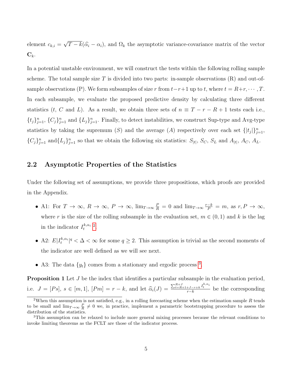element  $c_{k,i} =$ √  $T - k(\hat{\alpha}_i - \alpha_i)$ , and  $\Omega_k$  the asymptotic variance-covariance matrix of the vector  $\mathbf{C}_k$ .

In a potential unstable environment, we will construct the tests within the following rolling sample scheme. The total sample size T is divided into two parts: in-sample observations  $(R)$  and out-ofsample observations (P). We form subsamples of size r from  $t-r+1$  up to t, where  $t = R+r, \dots, T$ . In each subsample, we evaluate the proposed predictive density by calculating three different statistics (t, C and L). As a result, we obtain three sets of  $n \equiv T - r - R + 1$  tests each i.e.,  $\{t_j\}_{j=1}^n$ ,  $\{C_j\}_{j=1}^n$  and  $\{L_j\}_{j=1}^n$ . Finally, to detect instabilities, we construct Sup-type and Avg-type statistics by taking the supremum (S) and the average (A) respectively over each set  $\{ |t_j| \}_{j=1}^n$ ,  ${C_j}_{j=1}^n$  and  ${L_j}_{j=1}^n$  so that we obtain the following six statistics:  $S_{|t|}$ ,  $S_C$ ,  $S_L$  and  $A_{|t|}$ ,  $A_C$ ,  $A_L$ .

## 2.2 Asymptotic Properties of the Statistics

Under the following set of assumptions, we provide three propositions, which proofs are provided in the Appendix.

- A1: For  $T \to \infty$ ,  $R \to \infty$ ,  $P \to \infty$ ,  $\lim_{T \to \infty} \frac{P}{R} = 0$  and  $\lim_{T \to \infty} \frac{r-k}{P} = m$ , as  $r, P \to \infty$ , where r is the size of the rolling subsample in the evaluation set,  $m \in (0, 1)$  and k is the lag in the indicator  $I_t^{k, \alpha_i}$  <sup>[2](#page-6-0)</sup>.
- A2:  $E|I_t^{k,\alpha_i}|^q < \Delta < \infty$  for some  $q \geq 2$ . This assumption is trivial as the second moments of the indicator are well defined as we will see next.
- A[3](#page-6-1): The data  $\{y_t\}$  comes from a stationary and ergodic process <sup>3</sup>.

**Proposition 1** Let J be the index that identifies a particular subsample in the evaluation period, i.e.  $J = [Ps]$ ,  $s \in [m, 1]$ ,  $[Pm] = r - k$ , and let  $\widehat{\alpha}_i(J) = \frac{\sum_{t=R+1+J-r+k}^{R+J} I_t^{k,\alpha_i}}{r-k}$  be the corresponding

<span id="page-6-0"></span><sup>&</sup>lt;sup>2</sup>When this assumption is not satisfied, e.g., in a rolling forecasting scheme when the estimation sample R tends to be small and  $\lim_{T\to\infty}\frac{P}{R}\neq 0$  we, in practice, implement a parametric bootstrapping procedure to assess the distribution of the statistics.

<span id="page-6-1"></span><sup>3</sup>This assumption can be relaxed to include more general mixing processes because the relevant conditions to invoke limiting theorems as the FCLT are those of the indicator process.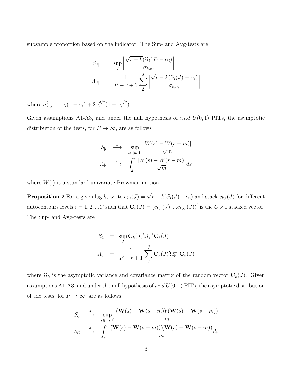subsample proportion based on the indicator. The Sup- and Avg-tests are

$$
S_{|t|} = \sup_{J} \left| \frac{\sqrt{r - k}(\widehat{\alpha}_{i}(J) - \alpha_{i})}{\sigma_{k, \alpha_{i}}} \right|
$$
  

$$
A_{|t|} = \frac{1}{P - r + 1} \sum_{J} \left| \frac{\sqrt{r - k}(\widehat{\alpha}_{i}(J) - \alpha_{i})}{\sigma_{k, \alpha_{i}}} \right|
$$

where  $\sigma_{k,\alpha_i}^2 = \alpha_i(1-\alpha_i) + 2\alpha_i^{3/2}$  $i^{3/2}(1-\alpha_i^{1/2})$  $\binom{1/2}{i}$ 

Given assumptions A1-A3, and under the null hypothesis of *i.i.d*  $U(0,1)$  PITs, the asymptotic distribution of the tests, for  $P \to \infty$ , are as follows

$$
S_{|t|} \xrightarrow{d} \sup_{s \in [m,1]} \frac{|W(s) - W(s - m)|}{\sqrt{m}}
$$

$$
A_{|t|} \xrightarrow{d} \int_{\underline{s}}^{\overline{s}} \frac{|W(s) - W(s - m)|}{\sqrt{m}} ds
$$

where  $W(.)$  is a standard univariate Brownian motion.

**Proposition 2** For a given lag k, write  $c_{k,i}(J) = \sqrt{r-k}(\widehat{\alpha_i}(J) - \alpha_i)$  and stack  $c_{k,i}(J)$  for different autocontours levels  $i = 1, 2, ...C$  such that  $\mathbf{C}_k(J) = (c_{k,1}(J), ... c_{k,C}(J))'$  is the  $C \times 1$  stacked vector. The Sup- and Avg-tests are

$$
S_C = \sup_J \mathbf{C}_k(J)'\Omega_k^{-1}\mathbf{C}_k(J)
$$
  

$$
A_C = \frac{1}{P - r + 1} \sum_J^J \mathbf{C}_k(J)'\Omega_k^{-1}\mathbf{C}_k(J)
$$

where  $\Omega_k$  is the asymptotic variance and covariance matrix of the random vector  $\mathbf{C}_k(J)$ . Given assumptions A1-A3, and under the null hypothesis of i.i.d  $U(0, 1)$  PITs, the asymptotic distribution of the tests, for  $P \to \infty$ , are as follows,

$$
S_C \quad \xrightarrow{d} \quad \sup_{s \in [m,1]} \frac{(\mathbf{W}(s) - \mathbf{W}(s-m))'(\mathbf{W}(s) - \mathbf{W}(s-m))}{m}
$$

$$
A_C \quad \xrightarrow{d} \quad \int_{\underline{s}}^{\bar{s}} \frac{(\mathbf{W}(s) - \mathbf{W}(s-m))'(\mathbf{W}(s) - \mathbf{W}(s-m))}{m} ds
$$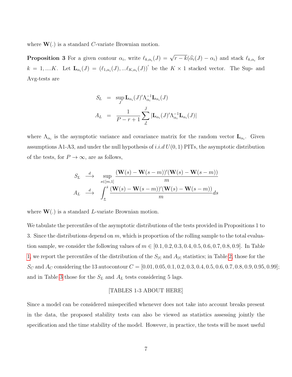where  $W(.)$  is a standard C-variate Brownian motion.

**Proposition 3** For a given contour  $\alpha_i$ , write  $\ell_{k,\alpha_i}(J) = \sqrt{\frac{\mu_{k,\alpha_i}(J)}{\sigma_i}}$  $r - k(\widehat{\alpha}_i(J) - \alpha_i)$  and stack  $\ell_{k,\alpha_i}$  for  $k = 1, \dots K$ . Let  $\mathbf{L}_{\alpha_i}(J) = (\ell_{1,\alpha_i}(J), \dots \ell_{K,\alpha_i}(J))'$  be the  $K \times 1$  stacked vector. The Sup- and Avg-tests are

$$
S_L = \sup_J \mathbf{L}_{\alpha_i}(J)' \Lambda_{\alpha_i}^{-1} \mathbf{L}_{\alpha_i}(J)
$$
  

$$
A_L = \frac{1}{P - r + 1} \sum_{\underline{J}}^{J} |\mathbf{L}_{\alpha_i}(J)' \Lambda_{\alpha_i}^{-1} \mathbf{L}_{\alpha_i}(J)|
$$

where  $\Lambda_{\alpha_i}$  is the asymptotic variance and covariance matrix for the random vector  $\mathbf{L}_{\alpha_i}$ . Given assumptions A1-A3, and under the null hypothesis of i.i.d  $U(0, 1)$  PITs, the asymptotic distribution of the tests, for  $P \to \infty$ , are as follows,

$$
S_L \xrightarrow{d} \sup_{s \in [m,1]} \frac{(\mathbf{W}(s) - \mathbf{W}(s-m))'(\mathbf{W}(s) - \mathbf{W}(s-m))}{m}
$$
  

$$
A_L \xrightarrow{d} \int_{\underline{s}}^{\overline{s}} \frac{(\mathbf{W}(s) - \mathbf{W}(s-m))'(\mathbf{W}(s) - \mathbf{W}(s-m))}{m} ds
$$

where  $W(.)$  is a standard *L*-variate Brownian motion.

We tabulate the percentiles of the asymptotic distributions of the tests provided in Propositions 1 to 3. Since the distributions depend on  $m$ , which is proportion of the rolling sample to the total evaluation sample, we consider the following values of  $m \in [0.1, 0.2, 0.3, 0.4, 0.5, 0.6, 0.7, 0.8, 0.9]$ . In Table [1,](#page-28-0) we report the percentiles of the distribution of the  $S_{|t|}$  and  $A_{|t|}$  statistics; in Table [2,](#page-29-0) those for the  $S_C$  and  $A_C$  considering the 13 autocontour  $C = [0.01, 0.05, 0.1, 0.2, 0.3, 0.4, 0.5, 0.6, 0.7, 0.8, 0.9, 0.95, 0.99]$ ; and in Table [3](#page-30-0) those for the  $S_L$  and  $A_L$  tests considering 5 lags.

#### [TABLES 1-3 ABOUT HERE]

Since a model can be considered misspecified whenever does not take into account breaks present in the data, the proposed stability tests can also be viewed as statistics assessing jointly the specification and the time stability of the model. However, in practice, the tests will be most useful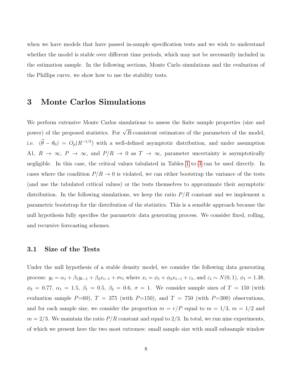when we have models that have passed in-sample specification tests and we wish to understand whether the model is stable over different time periods, which may not be necessarily included in the estimation sample. In the following sections, Monte Carlo simulations and the evaluation of the Phillips curve, we show how to use the stability tests.

# 3 Monte Carlos Simulations

We perform extensive Monte Carlos simulations to assess the finite sample properties (size and power) of the proposed statistics. For  $\sqrt{R}$ -consistent estimators of the parameters of the model, i.e.  $(\hat{\theta} - \theta_0) = O_p(R^{-1/2})$  with a well-defined asymptotic distribution, and under assumption A1,  $R \to \infty$ ,  $P \to \infty$ , and  $P/R \to 0$  as  $T \to \infty$ , parameter uncertainty is asymptotically negligible. In this case, the critical values tabulated in Tables [1](#page-28-0) to [3](#page-30-0) can be used directly. In cases where the condition  $P/R \rightarrow 0$  is violated, we can either bootstrap the variance of the tests (and use the tabulated critical values) or the tests themselves to approximate their asymptotic distribution. In the following simulations, we keep the ratio  $P/R$  constant and we implement a parametric bootstrap for the distribution of the statistics. This is a sensible approach because the null hypothesis fully specifies the parametric data generating process. We consider fixed, rolling, and recursive forecasting schemes.

## 3.1 Size of the Tests

Under the null hypothesis of a stable density model, we consider the following data generating process:  $y_t = \alpha_1 + \beta_1 y_{t-1} + \beta_2 x_{t-1} + \sigma \epsilon_t$  where  $x_t = \phi_1 + \phi_2 x_{t-1} + \varepsilon_t$ , and  $\varepsilon_t \sim N(0, 1)$ ,  $\phi_1 = 1.38$ ,  $\phi_2 = 0.77, \ \alpha_1 = 1.5, \ \beta_1 = 0.5, \ \beta_2 = 0.6, \ \sigma = 1.$  We consider sample sizes of  $T = 150$  (with evaluation sample  $P=60$ ),  $T = 375$  (with  $P=150$ ), and  $T = 750$  (with  $P=300$ ) observations, and for each sample size, we consider the proportion  $m = r/P$  equal to  $m = 1/3$ ,  $m = 1/2$  and  $m = 2/3$ . We maintain the ratio  $P/R$  constant and equal to 2/3. In total, we run nine experiments, of which we present here the two most extremes: small sample size with small subsample window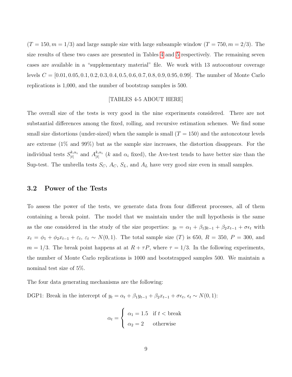$(T = 150, m = 1/3)$  and large sample size with large subsample window  $(T = 750, m = 2/3)$ . The size results of these two cases are presented in Tables [4](#page-31-0) and [5](#page-31-1) respectively. The remaining seven cases are available in a "supplementary material" file. We work with 13 autocontour coverage levels  $C = [0.01, 0.05, 0.1, 0.2, 0.3, 0.4, 0.5, 0.6, 0.7, 0.8, 0.9, 0.95, 0.99]$ . The number of Monte Carlo replications is 1,000, and the number of bootstrap samples is 500.

#### [TABLES 4-5 ABOUT HERE]

The overall size of the tests is very good in the nine experiments considered. There are not substantial differences among the fixed, rolling, and recursive estimation schemes. We find some small size distortions (under-sized) when the sample is small  $(T = 150)$  and the autoncotour levels are extreme (1% and 99%) but as the sample size increases, the distortion disappears. For the individual tests  $S_{\text{H}}^{k,\alpha_i}$  $\begin{array}{c} \n k, \alpha_i \\ \n |t| \n \end{array}$  and  $A^{k, \alpha_i}_{|t|}$  $\binom{k,\alpha_i}{|t|}$  (k and  $\alpha_i$  fixed), the Ave-test tends to have better size than the Sup-test. The umbrella tests  $S_C$ ,  $A_C$ ,  $S_L$ , and  $A_L$  have very good size even in small samples.

## 3.2 Power of the Tests

To assess the power of the tests, we generate data from four different processes, all of them containing a break point. The model that we maintain under the null hypothesis is the same as the one considered in the study of the size properties:  $y_t = \alpha_1 + \beta_1 y_{t-1} + \beta_2 x_{t-1} + \sigma \epsilon_t$  with  $x_t = \phi_1 + \phi_2 x_{t-1} + \varepsilon_t$ ,  $\varepsilon_t \sim N(0, 1)$ . The total sample size (T) is 650,  $R = 350$ ,  $P = 300$ , and  $m = 1/3$ . The break point happens at at  $R + \tau P$ , where  $\tau = 1/3$ . In the following experiments, the number of Monte Carlo replications is 1000 and bootstrapped samples 500. We maintain a nominal test size of 5%.

The four data generating mechanisms are the following:

DGP1: Break in the intercept of  $y_t = \alpha_t + \beta_1 y_{t-1} + \beta_2 x_{t-1} + \sigma \epsilon_t$ ,  $\epsilon_t \sim N(0, 1)$ :

$$
\alpha_t = \begin{cases} \alpha_1 = 1.5 & \text{if } t < \text{break} \\ \alpha_2 = 2 & \text{otherwise} \end{cases}
$$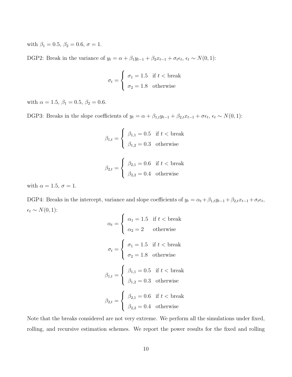with  $\beta_1 = 0.5, \beta_2 = 0.6, \sigma = 1$ .

DGP2: Break in the variance of  $y_t = \alpha + \beta_1 y_{t-1} + \beta_2 x_{t-1} + \sigma_t \epsilon_t$ ,  $\epsilon_t \sim N(0, 1)$ :

$$
\sigma_t = \begin{cases} \sigma_1 = 1.5 & \text{if } t < \text{break} \\ \sigma_2 = 1.8 & \text{otherwise} \end{cases}
$$

with  $\alpha$  = 1.5,  $\beta_1$  = 0.5,  $\beta_2$  = 0.6.

DGP3: Breaks in the slope coefficients of  $y_t = \alpha + \beta_{1,t} y_{t-1} + \beta_{2,t} x_{t-1} + \sigma \epsilon_t$ ,  $\epsilon_t \sim N(0, 1)$ :

$$
\beta_{1,t} = \begin{cases} \beta_{1,1} = 0.5 & \text{if } t < \text{break} \\ \beta_{1,2} = 0.3 & \text{otherwise} \end{cases}
$$

$$
\beta_{2,t} = \begin{cases} \beta_{2,1} = 0.6 & \text{if } t < \text{break} \\ \beta_{2,2} = 0.4 & \text{otherwise} \end{cases}
$$

with  $\alpha = 1.5$ ,  $\sigma = 1$ .

DGP4: Breaks in the intercept, variance and slope coefficients of  $y_t = \alpha_t + \beta_{1,t} y_{t-1} + \beta_{2,t} x_{t-1} + \sigma_t \epsilon_t$  $\epsilon_t \sim N(0, 1)$ :

$$
\alpha_t = \begin{cases}\n\alpha_1 = 1.5 & \text{if } t < \text{break} \\
\alpha_2 = 2 & \text{otherwise}\n\end{cases}
$$
\n
$$
\sigma_t = \begin{cases}\n\sigma_1 = 1.5 & \text{if } t < \text{break} \\
\sigma_2 = 1.8 & \text{otherwise}\n\end{cases}
$$
\n
$$
\beta_{1,t} = \begin{cases}\n\beta_{1,1} = 0.5 & \text{if } t < \text{break} \\
\beta_{1,2} = 0.3 & \text{otherwise}\n\end{cases}
$$
\n
$$
\beta_{2,t} = \begin{cases}\n\beta_{2,1} = 0.6 & \text{if } t < \text{break} \\
\beta_{2,2} = 0.4 & \text{otherwise}\n\end{cases}
$$

Note that the breaks considered are not very extreme. We perform all the simulations under fixed, rolling, and recursive estimation schemes. We report the power results for the fixed and rolling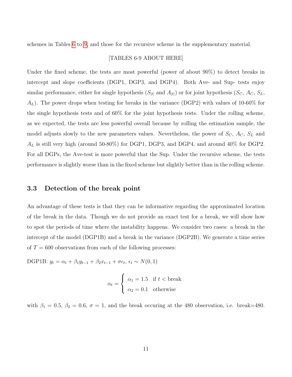schemes in Tables [6](#page-32-0) to [9,](#page-35-0) and those for the recursive scheme in the supplementary material.

#### [TABLES 6-9 ABOUT HERE]

Under the fixed scheme, the tests are most powerful (power of about 90%) to detect breaks in intercept and slope coefficients (DGP1, DGP3, and DGP4). Both Ave- and Sup- tests enjoy similar performance, either for single hypothesis  $(S_{|t|}$  and  $A_{|t|})$  or for joint hypothesis  $(S_C, A_C, S_L,$  $A_L$ ). The power drops when testing for breaks in the variance (DGP2) with values of 10-60% for the single hypothesis tests and of 60% for the joint hypothesis tests. Under the rolling scheme, as we expected, the tests are less powerful overall because by rolling the estimation sample, the model adjusts slowly to the new parameters values. Nevertheless, the power of  $S_C$ ,  $A_C$ ,  $S_L$  and  $A_L$  is still very high (around 50-80%) for DGP1, DGP3, and DGP4, and around 40% for DGP2. For all DGPs, the Ave-test is more powerful that the Sup. Under the recursive scheme, the tests performance is slightly worse than in the fixed scheme but slightly better than in the rolling scheme.

### 3.3 Detection of the break point

An advantage of these tests is that they can be informative regarding the approximated location of the break in the data. Though we do not provide an exact test for a break, we will show how to spot the periods of time where the instability happens. We consider two cases: a break in the intercept of the model (DGP1B) and a break in the variance (DGP2B). We generate a time series of  $T = 600$  observations from each of the following processes:

DGP1B:  $y_t = \alpha_t + \beta_1 y_{t-1} + \beta_2 x_{t-1} + \sigma \epsilon_t$ ,  $\epsilon_t \sim N(0, 1)$ 

$$
\alpha_t = \begin{cases} \alpha_1 = 1.5 & \text{if } t < \text{break} \\ \alpha_2 = 0.1 & \text{otherwise} \end{cases}
$$

with  $\beta_1 = 0.5$ ,  $\beta_2 = 0.6$ ,  $\sigma = 1$ , and the break occuring at the 480 observation, i.e. break=480.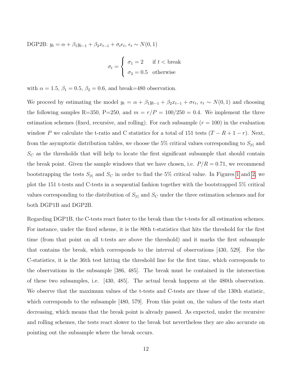DGP2B:  $y_t = \alpha + \beta_1 y_{t-1} + \beta_2 x_{t-1} + \sigma_t \epsilon_t, \epsilon_t \sim N(0, 1)$ 

$$
\sigma_t = \begin{cases} \sigma_1 = 2 & \text{if } t < \text{break} \\ \sigma_2 = 0.5 & \text{otherwise} \end{cases}
$$

with  $\alpha = 1.5$ ,  $\beta_1 = 0.5$ ,  $\beta_2 = 0.6$ , and break=480 observation.

We proceed by estimating the model  $y_t = \alpha + \beta_1 y_{t-1} + \beta_2 x_{t-1} + \sigma \epsilon_t$ ,  $\epsilon_t \sim N(0, 1)$  and choosing the following samples R=350, P=250, and  $m = r/P = 100/250 = 0.4$ . We implement the three estimation schemes (fixed, recursive, and rolling). For each subsample  $(r = 100)$  in the evaluation window P we calculate the t-ratio and C statistics for a total of 151 tests  $(T - R + 1 - r)$ . Next, from the asymptotic distribution tables, we choose the 5% critical values corresponding to  $S_{|t|}$  and  $S_C$  as the thresholds that will help to locate the first significant subsample that should contain the break point. Given the sample windows that we have chosen, i.e.  $P/R = 0.71$ , we recommend bootstrapping the tests  $S_{|t|}$  and  $S_C$  in order to find the 5% critical value. In Figures [1](#page-15-0) and [2,](#page-16-0) we plot the 151 t-tests and C-tests in a sequential fashion together with the bootstrapped 5% critical values corresponding to the distribution of  $S_{|t|}$  and  $S_C$  under the three estimation schemes and for both DGP1B and DGP2B.

Regarding DGP1B, the C-tests react faster to the break than the t-tests for all estimation schemes. For instance, under the fixed scheme, it is the 80th t-statistics that hits the threshold for the first time (from that point on all t-tests are above the threshold) and it marks the first subsample that contains the break, which corresponds to the interval of observations [430, 529]. For the C-statistics, it is the 36th test hitting the threshold line for the first time, which corresponds to the observations in the subsample [386, 485]. The break must be contained in the intersection of these two subsamples, i.e. [430, 485]. The actual break happens at the 480th observation. We observe that the maximum values of the t-tests and C-tests are those of the 130th statistic, which corresponds to the subsample [480, 579]. From this point on, the values of the tests start decreasing, which means that the break point is already passed. As expected, under the recursive and rolling schemes, the tests react slower to the break but nevertheless they are also accurate on pointing out the subsample where the break occurs.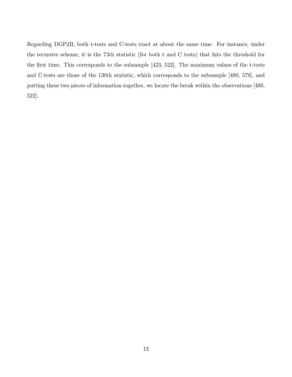Regarding DGP2B, both t-tests and C-tests react at about the same time. For instance, under the recursive scheme, it is the 73th statistic (for both t and C tests) that hits the threshold for the first time. This corresponds to the subsample [423, 522]. The maximum values of the t-tests and C-tests are those of the 130th statistic, which corresponds to the subsample [480, 579], and putting these two pieces of information together, we locate the break within the observations [480, 522].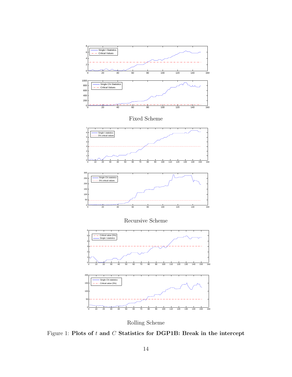<span id="page-15-0"></span>

Rolling Scheme

Figure 1: Plots of  $t$  and  $C$  Statistics for DGP1B: Break in the intercept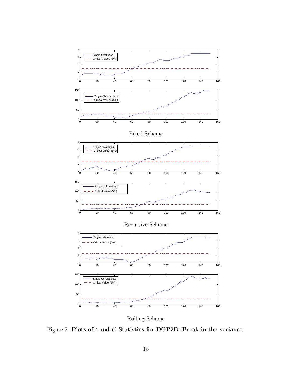<span id="page-16-0"></span>

Rolling Scheme

Figure 2: Plots of  $t$  and  $C$  Statistics for DGP2B: Break in the variance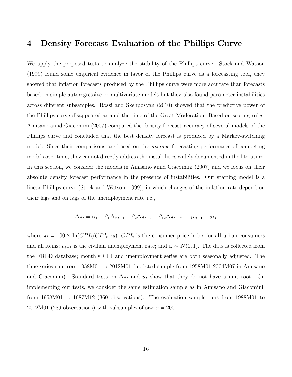# 4 Density Forecast Evaluation of the Phillips Curve

We apply the proposed tests to analyze the stability of the Phillips curve. Stock and Watson (1999) found some empirical evidence in favor of the Phillips curve as a forecasting tool, they showed that inflation forecasts produced by the Phillips curve were more accurate than forecasts based on simple autoregressive or multivariate models but they also found parameter instabilities across different subsamples. Rossi and Skehposyan (2010) showed that the predictive power of the Phillips curve disappeared around the time of the Great Moderation. Based on scoring rules, Amisano annd Giacomini (2007) compared the density forecast accuracy of several models of the Phillips curve and concluded that the best density forecast is produced by a Markov-switching model. Since their comparisons are based on the *average* forecasting performance of competing models over time, they cannot directly address the instabilities widely documented in the literature. In this section, we consider the models in Amisano annd Giacomini (2007) and we focus on their absolute density forecast performance in the presence of instabilities. Our starting model is a linear Phillips curve (Stock and Watson, 1999), in which changes of the inflation rate depend on their lags and on lags of the unemployment rate i.e.,

$$
\Delta \pi_t = \alpha_1 + \beta_1 \Delta \pi_{t-1} + \beta_2 \Delta \pi_{t-2} + \beta_{12} \Delta \pi_{t-12} + \gamma u_{t-1} + \sigma \epsilon_t
$$

where  $\pi_t = 100 \times \ln(CPI_t/CPI_{t-12})$ ;  $CPI_t$  is the consumer price index for all urban consumers and all items;  $u_{t-1}$  is the civilian unemployment rate; and  $\epsilon_t \sim N(0, 1)$ . The dats is collected from the FRED database; monthly CPI and unemployment series are both seasonally adjusted. The time series run from 1958M01 to 2012M01 (updated sample from 1958M01-2004M07 in Amisano and Giacomini). Standard tests on  $\Delta \pi_t$  and  $u_t$  show that they do not have a unit root. On implementing our tests, we consider the same estimation sample as in Amisano and Giacomini, from 1958M01 to 1987M12 (360 observations). The evaluation sample runs from 1988M01 to 2012M01 (289 observations) with subsamples of size  $r = 200$ .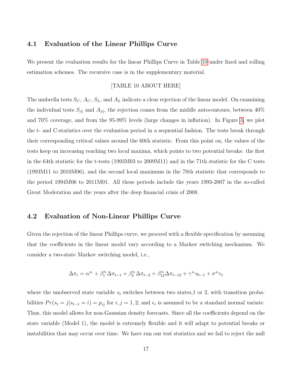## 4.1 Evaluation of the Linear Phillips Curve

We present the evaluation results for the linear Phillips Curve in Table [10](#page-36-0) under fixed and rolling estimation schemes. The recursive case is in the supplementary material.

#### [TABLE 10 ABOUT HERE]

The umbrella tests  $S_C$ ,  $A_C$ ,  $S_L$ , and  $A_L$  indicate a clear rejection of the linear model. On examining the individual tests  $S_{|t|}$  and  $A_{|t|}$ , the rejection comes from the middle autocontours, between 40% and 70% coverage, and from the 95-99% levels (large changes in inflation). In Figure [3,](#page-19-0) we plot the t- and C-statistics over the evaluation period in a sequential fashion. The tests break through their corresponding critical values around the 60th statistic. From this point on, the values of the tests keep on increasing reaching two local maxima, which points to two potential breaks: the first in the 64th statistic for the t-tests (1993M03 to 2009M11) and in the 71th statistic for the C tests (1993M11 to 2010M06), and the second local maximum in the 78th statistic that corresponds to the period 1994M06 to 2011M01. All these periods include the years 1993-2007 in the so-called Great Moderation and the years after the deep financial crisis of 2008.

## 4.2 Evaluation of Non-Linear Phillips Curve

Given the rejection of the linear Phillips curve, we proceed with a flexible specification by assuming that the coefficients in the linear model vary according to a Markov switching mechanism. We consider a two-state Markov switching model, i.e.,

$$
\Delta \pi_t = \alpha^{s_t} + \beta_1^{s_t} \Delta \pi_{t-1} + \beta_2^{s_t} \Delta \pi_{t-2} + \beta_{12}^{s_t} \Delta \pi_{t-12} + \gamma^{s_t} u_{t-1} + \sigma^{s_t} \epsilon_t
$$

where the unobserved state variable  $s_t$  switches between two states, 1 or 2, with transition probabilities  $Pr(s_t = j | s_{t-1} = i) = p_{ij}$  for  $i, j = 1, 2$ ; and  $\epsilon_t$  is assumed to be a standard normal variate. Thus, this model allows for non-Gaussian density forecasts. Since all the coefficients depend on the state variable (Model 1), the model is extremely flexible and it will adapt to potential breaks or instabilities that may occur over time. We have run our test statistics and we fail to reject the null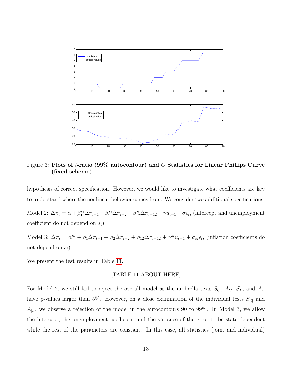<span id="page-19-0"></span>

Figure 3: Plots of *t*-ratio (99% autocontour) and C Statistics for Linear Phillips Curve (fixed scheme)

hypothesis of correct specification. However, we would like to investigate what coefficients are key to understand where the nonlinear behavior comes from. We consider two additional specifications,

Model 2:  $\Delta \pi_t = \alpha + \beta_1^{s_t} \Delta \pi_{t-1} + \beta_2^{s_t} \Delta \pi_{t-2} + \beta_{12}^{s_t} \Delta \pi_{t-12} + \gamma u_{t-1} + \sigma \epsilon_t$ , (intercept and unemployment coefficient do not depend on  $s_t$ ).

Model 3:  $\Delta \pi_t = \alpha^{s_t} + \beta_1 \Delta \pi_{t-1} + \beta_2 \Delta \pi_{t-2} + \beta_{12} \Delta \pi_{t-12} + \gamma^{s_t} u_{t-1} + \sigma_{s_t} \epsilon_t$ , (inflation coefficients do not depend on  $s_t$ ).

We present the test results in Table [11.](#page-37-0)

#### [TABLE 11 ABOUT HERE]

For Model 2, we still fail to reject the overall model as the umbrella tests  $S_C$ ,  $A_C$ ,  $S_L$ , and  $A_L$ have p-values larger than 5%. However, on a close examination of the individual tests  $S_{|t|}$  and  $A_{|t|}$ , we observe a rejection of the model in the autocontours 90 to 99%. In Model 3, we allow the intercept, the unemployment coefficient and the variance of the error to be state dependent while the rest of the parameters are constant. In this case, all statistics (joint and individual)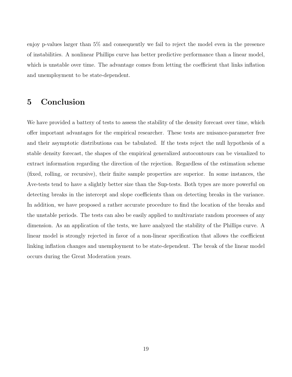enjoy p-values larger than 5% and consequently we fail to reject the model even in the presence of instabilities. A nonlinear Phillips curve has better predictive performance than a linear model, which is unstable over time. The advantage comes from letting the coefficient that links inflation and unemployment to be state-dependent.

# 5 Conclusion

We have provided a battery of tests to assess the stability of the density forecast over time, which offer important advantages for the empirical researcher. These tests are nuisance-parameter free and their asymptotic distributions can be tabulated. If the tests reject the null hypothesis of a stable density forecast, the shapes of the empirical generalized autocontours can be visualized to extract information regarding the direction of the rejection. Regardless of the estimation scheme (fixed, rolling, or recursive), their finite sample properties are superior. In some instances, the Ave-tests tend to have a slightly better size than the Sup-tests. Both types are more powerful on detecting breaks in the intercept and slope coefficients than on detecting breaks in the variance. In addition, we have proposed a rather accurate procedure to find the location of the breaks and the unstable periods. The tests can also be easily applied to multivariate random processes of any dimension. As an application of the tests, we have analyzed the stability of the Phillips curve. A linear model is strongly rejected in favor of a non-linear specification that allows the coefficient linking inflation changes and unemployment to be state-dependent. The break of the linear model occurs during the Great Moderation years.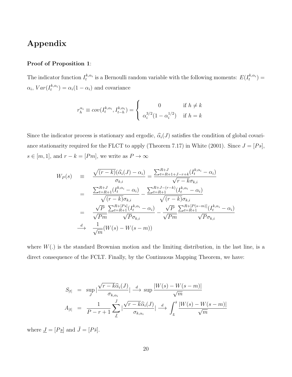# Appendix

#### Proof of Proposition 1:

The indicator function  $I_t^{k,\alpha_i}$  is a Bernoulli random variable with the following moments:  $E(I_t^{k,\alpha_i}) =$  $\alpha_i$ ,  $Var(I_t^{k,\alpha_i}) = \alpha_i(1-\alpha_i)$  and covariance

$$
r_h^{\alpha_i} \equiv cov(I_t^{k,\alpha_i}, I_{t-h}^{k,\alpha_i}) = \begin{cases} 0 & \text{if } h \neq k \\ \alpha_i^{3/2} (1 - \alpha_i^{1/2}) & \text{if } h = k \end{cases}
$$

Since the indicator process is stationary and ergodic,  $\hat{\alpha}_i(J)$  satisfies the condition of global covariance stationarity required for the FLCT to apply (Theorem 7.17) in White (2001). Since  $J = [Ps]$ ,  $s \in [m, 1]$ , and  $r - k = [Pm]$ , we write as  $P \to \infty$ 

$$
W_P(s) = \frac{\sqrt{(r-k)}(\hat{\alpha}_i(J) - \alpha_i)}{\sigma_{k,i}} = \frac{\sum_{t=R+1+J-r+k}^{R+J} (I_t^{k,\alpha_i} - \alpha_i)}{\sqrt{r-k}\sigma_{k,i}} = \frac{\sum_{t=R+1}^{R+J} (I_t^{k,\alpha_i} - \alpha_i)}{\sqrt{(r-k)}\sigma_{k,i}} - \frac{\sum_{t=R+1}^{R+J-(r-k)} (I_t^{k,\alpha_i} - \alpha_i)}{\sqrt{(r-k)}\sigma_{k,i}} = \frac{\sqrt{P}}{\sqrt{Pm}} \frac{\sum_{t=R+1}^{R+[Ps]} (I_t^{k,\alpha_i} - \alpha_i)}{\sqrt{P}\sigma_{k,i}} - \frac{\sqrt{P}}{\sqrt{Pm}} \frac{\sum_{t=R+1}^{R+[Ps-m]} (I_t^{k,\alpha_i} - \alpha_i)}{\sqrt{P}\sigma_{k,i}} \frac{d}{\sqrt{m}} (W(s) - W(s - m))
$$

where  $W(.)$  is the standard Brownian motion and the limiting distribution, in the last line, is a direct consequence of the FCLT. Finally, by the Continuous Mapping Theorem, we have:

$$
S_{|t|} = \sup_{J} \left| \frac{\sqrt{r - k\hat{\alpha}_i(J)}}{\sigma_{k,\alpha_i}} \right| \xrightarrow{d} \sup \frac{|W(s) - W(s - m)|}{\sqrt{m}}
$$

$$
A_{|t|} = \frac{1}{P - r + 1} \sum_{J}^{\bar{J}} \left| \frac{\sqrt{r - k\hat{\alpha}_i(J)}}{\sigma_{k,\alpha_i}} \right| \xrightarrow{d} \int_{\underline{s}}^{\bar{s}} \frac{|W(s) - W(s - m)|}{\sqrt{m}}
$$

where  $\underline{J} = [P \underline{s}]$  and  $\bar{J} = [P \bar{s}].$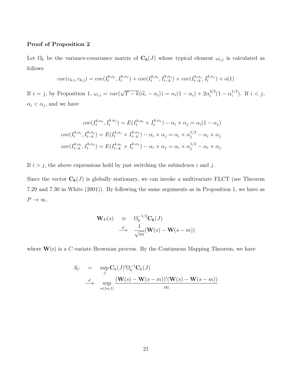#### Proof of Proposition 2

Let  $\Omega_k$  be the variance-covariance matrix of  $C_k(J)$  whose typical element  $\omega_{i,j}$  is calculated as follows

$$
cov(c_{k,i}, c_{k,j}) = cov(I_t^{k,\alpha_i}, I_t^{k,\alpha_j}) + cov(I_t^{k,\alpha_i}, I_{t-k}^{k,\alpha_j}) + cov(I_{t-k}^{k,\alpha_i}, I_t^{k,\alpha_j}) + o(1)
$$

If  $i = j$ , by Proposition 1,  $\omega_{i,i} = var($ √  $\overline{T-k}(\widehat{\alpha}_i-\alpha_i)) = \alpha_i(1-\alpha_i) + 2\alpha_i^{3/2}$  $i^{3/2}(1-\alpha_i^{1/2})$  $i^{1/2}$ ). If  $i < j$ ,  $\alpha_i < \alpha_j$ , and we have

$$
cov(I_t^{k,\alpha_i}, I_t^{k,\alpha_j}) = E(I_t^{k,\alpha_i} \times I_t^{k,\alpha_j}) - \alpha_i \times \alpha_j = \alpha_i (1 - \alpha_j)
$$

$$
cov(I_t^{k,\alpha_i}, I_{t-k}^{k,\alpha_j}) = E(I_t^{k,\alpha_i} \times I_{t-k}^{k,\alpha_j}) - \alpha_i \times \alpha_j = \alpha_i \times \alpha_j^{1/2} - \alpha_i \times \alpha_j
$$

$$
cov(I_{t-k}^{k,\alpha_i}, I_t^{k,\alpha_j}) = E(I_{t-k}^{k,\alpha_i} \times I_t^{k,\alpha_j}) - \alpha_i \times \alpha_j = \alpha_i \times \alpha_j^{1/2} - \alpha_i \times \alpha_j
$$

If  $i > j$ , the above expressions hold by just switching the subindexes i and j.

Since the vector  $C_k(J)$  is globally stationary, we can invoke a multivariate FLCT (see Theorem 7.29 and 7.30 in White (2001)). By following the same arguments as in Proposition 1, we have as  $P \to \infty$ ,

$$
\begin{array}{rcl}\n\mathbf{W}_P(s) & \equiv & \Omega_k^{-1/2} \mathbf{C}_k(J) \\
\longrightarrow & \frac{d}{\sqrt{m}} (\mathbf{W}(s) - \mathbf{W}(s-m))\n\end{array}
$$

where  $W(s)$  is a C-variate Brownian process. By the Continuous Mapping Theorem, we have

$$
S_C = \sup_J \mathbf{C}_k(J)'\Omega_k^{-1}\mathbf{C}_k(J)
$$
  
\n
$$
\xrightarrow{d} \sup_{s \in [m,1]} \frac{(\mathbf{W}(s) - \mathbf{W}(s-m))'(\mathbf{W}(s) - \mathbf{W}(s-m))}{m}
$$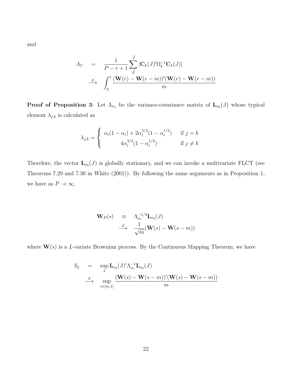and

$$
A_C = \frac{1}{P - r + 1} \sum_{J}^{J} |\mathbf{C}_k(J)' \Omega_k^{-1} \mathbf{C}_k(J)|
$$
  
\n
$$
\xrightarrow{d} \int_{\underline{s}}^{s} \frac{(\mathbf{W}(r) - \mathbf{W}(r - m))'(\mathbf{W}(r) - \mathbf{W}(r - m))}{m}
$$

**Proof of Proposition 3:** Let  $\Lambda_{\alpha_i}$  be the variance-covariance matrix of  $\mathbf{L}_{\alpha_i}(J)$  whose typical element  $\lambda_{j,k}$  is calculated as

$$
\lambda_{j,k} = \begin{cases} \alpha_i (1 - \alpha_i) + 2\alpha_i^{3/2} (1 - \alpha_i^{1/2}) & \text{if } j = k \\ 4\alpha_i^{3/2} (1 - \alpha_i^{1/2}) & \text{if } j \neq k \end{cases}
$$

Therefore, the vector  $\mathbf{L}_{\alpha_i}(J)$  is globally stationary, and we can invoke a multivariate FLCT (see Theorems 7.29 and 7.30 in White (2001)). By following the same arguments as in Proposition 1, we have as  $P \to \infty$ ,

$$
\begin{array}{rcl}\n\mathbf{W}_P(s) & \equiv & \Lambda_{\alpha_i}^{-1/2} \mathbf{L}_{\alpha_i}(J) \\
\longrightarrow & \frac{d}{\sqrt{m}} (\mathbf{W}(s) - \mathbf{W}(s-m))\n\end{array}
$$

where  $\mathbf{W}(s)$  is a L-variate Brownian process. By the Continuous Mapping Theorem, we have

$$
S_L = \sup_J \mathbf{L}_{\alpha_i}(J)' \Lambda_{\alpha_i}^{-1} \mathbf{L}_{\alpha_i}(J)
$$
  
\n
$$
\xrightarrow{d} \sup_{s \in [m,1]} \frac{(\mathbf{W}(s) - \mathbf{W}(s-m))'(\mathbf{W}(s) - \mathbf{W}(s-m))}{m}
$$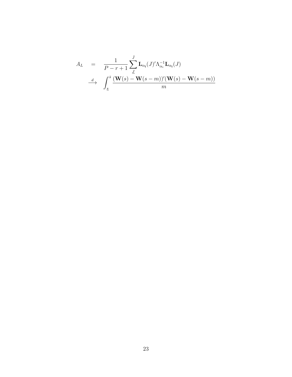$$
A_L = \frac{1}{P - r + 1} \sum_{\underline{J}}^{\overline{J}} \mathbf{L}_{\alpha_i}(J)' \Lambda_{\alpha_i}^{-1} \mathbf{L}_{\alpha_i}(J)
$$
  

$$
\xrightarrow{d} \int_{\underline{s}}^{\overline{s}} \frac{(\mathbf{W}(s) - \mathbf{W}(s - m))'(\mathbf{W}(s) - \mathbf{W}(s - m))}{m}
$$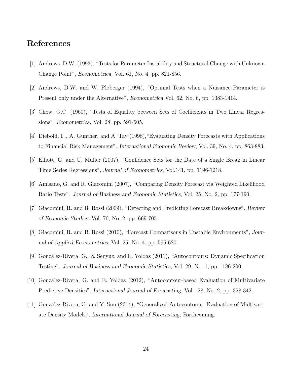# References

- [1] Andrews, D.W. (1993), "Tests for Parameter Instability and Structural Change with Unknown Change Point", Econometrica, Vol. 61, No. 4, pp. 821-856.
- [2] Andrews, D.W. and W. Ploberger (1994), "Optimal Tests when a Nuisance Parameter is Present only under the Alternative", Econometrica Vol. 62, No. 6, pp. 1383-1414.
- [3] Chow, G.C. (1960), "Tests of Equality between Sets of Coefficients in Two Linear Regressions", Econometrica, Vol. 28, pp. 591-605.
- [4] Diebold, F., A. Gunther, and A. Tay (1998),"Evaluating Density Forecasts with Applications to Financial Risk Management", International Economic Review, Vol. 39, No. 4, pp. 863-883.
- [5] Elliott, G. and U. Muller (2007), "Confidence Sets for the Date of a Single Break in Linear Time Series Regressions", Journal of Econometrics, Vol.141, pp. 1196-1218.
- [6] Amisano, G. and R. Giacomini (2007), "Comparing Density Forecast via Weighted Likelihood Ratio Tests", Journal of Business and Economic Statistics, Vol. 25, No. 2, pp. 177-190.
- [7] Giacomini, R. and B. Rossi (2009), "Detecting and Predicting Forecast Breakdowns", Review of Economic Studies, Vol. 76, No. 2, pp. 669-705.
- [8] Giacomini, R. and B. Rossi (2010), "Forecast Comparisons in Unstable Environments", Journal of Applied Econometrics, Vol. 25, No. 4, pp. 595-620.
- [9] Gonz´alez-Rivera, G., Z. Senyuz, and E. Yoldas (2011), "Autocontours: Dynamic Specification Testing", Journal of Business and Economic Statistics, Vol. 29, No. 1, pp. 186-200.
- [10] Gonz´alez-Rivera, G. and E. Yoldas (2012), "Autocontour-based Evaluation of Multivariate Predictive Densities", International Journal of Forecasting, Vol. 28, No. 2, pp. 328-342.
- [11] González-Rivera, G. and Y. Sun (2014), "Generalized Autocontours: Evaluation of Multivariate Density Models", International Journal of Forecasting, Forthcoming.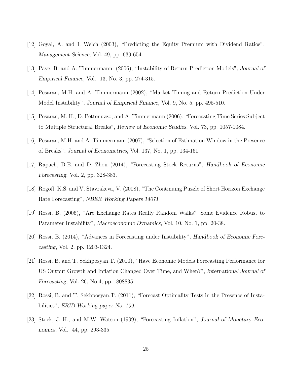- [12] Goyal, A. and I. Welch (2003), "Predicting the Equity Premium with Dividend Ratios", Management Science, Vol. 49, pp. 639-654.
- [13] Paye, B. and A. Timmermann (2006), "Instability of Return Prediction Models", Journal of Empirical Finance, Vol. 13, No. 3, pp. 274-315.
- [14] Pesaran, M.H. and A. Timmermann (2002), "Market Timing and Return Prediction Under Model Instability", Journal of Empirical Finance, Vol. 9, No. 5, pp. 495-510.
- [15] Pesaran, M. H., D. Pettenuzzo, and A. Timmermann (2006), "Forecasting Time Series Subject to Multiple Structural Breaks", Review of Economic Studies, Vol. 73, pp. 1057-1084.
- [16] Pesaran, M.H. and A. Timmermann (2007), "Selection of Estimation Window in the Presence of Breaks", Journal of Econometrics, Vol. 137, No. 1, pp. 134-161.
- [17] Rapach, D.E. and D. Zhou (2014), "Forecasting Stock Returns", Handbook of Economic Forecasting, Vol. 2, pp. 328-383.
- [18] Rogoff, K.S. and V. Stavrakeva, V. (2008), "The Continuing Puzzle of Short Horizon Exchange Rate Forecasting", NBER Working Papers 14071
- [19] Rossi, B. (2006), "Are Exchange Rates Really Random Walks? Some Evidence Robust to Parameter Instability", Macroeconomic Dynamics, Vol. 10, No. 1, pp. 20-38.
- [20] Rossi, B. (2014), "Advances in Forecasting under Instability", Handbook of Economic Forecasting, Vol. 2, pp. 1203-1324.
- [21] Rossi, B. and T. Sekhposyan,T. (2010), "Have Economic Models Forecasting Performance for US Output Growth and Inflation Changed Over Time, and When?", International Journal of Forecasting, Vol. 26, No.4, pp. 808835.
- [22] Rossi, B. and T. Sekhposyan,T. (2011), "Forecast Optimality Tests in the Presence of Instabilities", ERID Working paper No. 109.
- [23] Stock, J. H., and M.W. Watson (1999), "Forecasting Inflation", Journal of Monetary Economics, Vol. 44, pp. 293-335.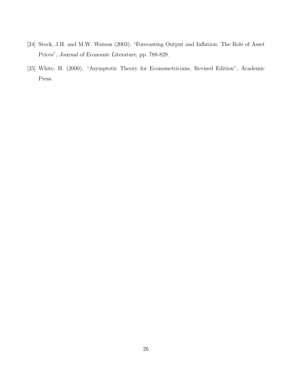- [24] Stock, J.H. and M.W. Watson (2003), "Forecasting Output and Inflation: The Role of Asset Prices", Journal of Economic Literature, pp. 788-829.
- [25] White, H. (2000), "Asymptotic Theory for Econometricians, Revised Edition", Academic Press.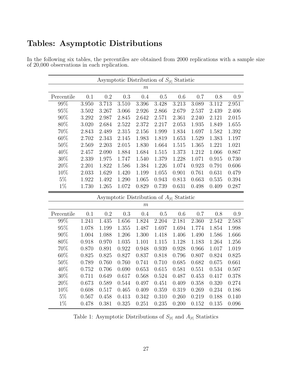|                |       |       | Asymptotic Distribution of $S_{ t }$ Statistic |       |       |           |       |                    |       |
|----------------|-------|-------|------------------------------------------------|-------|-------|-----------|-------|--------------------|-------|
|                |       |       |                                                | $\,m$ |       |           |       |                    |       |
| Percentile     | 0.1   | 0.2   | 0.3                                            | 0.4   | 0.5   | 0.6       | 0.7   | 0.8                | 0.9   |
| 99%            | 3.950 | 3.713 | 3.510                                          | 3.396 | 3.428 | 3.213     | 3.089 | $\overline{3.112}$ | 2.951 |
| $95\%$         | 3.502 | 3.267 | 3.066                                          | 2.926 | 2.866 | 2.679     | 2.537 | 2.439              | 2.406 |
| $90\%$         | 3.292 | 2.987 | 2.845                                          | 2.642 | 2.571 | 2.361     | 2.240 | 2.121              | 2.015 |
| 80%            | 3.020 | 2.684 | 2.522                                          | 2.372 | 2.217 | 2.053     | 1.935 | 1.849              | 1.655 |
| 70%            | 2.843 | 2.489 | 2.315                                          | 2.156 | 1.999 | 1.834     | 1.697 | 1.582              | 1.392 |
| $60\%$         | 2.702 | 2.343 | 2.145                                          | 1.983 | 1.819 | 1.653     | 1.529 | 1.383              | 1.197 |
| 50%            | 2.569 | 2.203 | 2.015                                          | 1.830 | 1.664 | $1.515\,$ | 1.365 | 1.221              | 1.021 |
| 40%            | 2.457 | 2.090 | 1.884                                          | 1.684 | 1.515 | 1.373     | 1.212 | 1.066              | 0.867 |
| $30\%$         | 2.339 | 1.975 | 1.747                                          | 1.540 | 1.379 | 1.228     | 1.071 | 0.915              | 0.730 |
| $20\%$         | 2.201 | 1.822 | 1.586                                          | 1.384 | 1.226 | 1.074     | 0.923 | 0.791              | 0.606 |
| 10%            | 2.033 | 1.629 | 1.420                                          | 1.199 | 1.055 | 0.901     | 0.761 | 0.631              | 0.479 |
| $5\%$          | 1.922 | 1.492 | 1.290                                          | 1.065 | 0.943 | 0.813     | 0.663 | $0.535\,$          | 0.394 |
| $1\%$          | 1.730 | 1.265 | 1.072                                          | 0.829 | 0.739 | 0.631     | 0.498 | 0.409              | 0.287 |
|                |       |       | Asymptotic Distribution of $A_{ t }$ Statistic |       |       |           |       |                    |       |
|                |       |       |                                                | $\,m$ |       |           |       |                    |       |
| Percentile     | 0.1   | 0.2   | 0.3                                            | 0.4   | 0.5   | 0.6       | 0.7   | 0.8                | 0.9   |
| 99%            | 1.241 | 1.435 | 1.656                                          | 1.824 | 2.204 | 2.181     | 2.360 | 2.542              | 2.583 |
| 95%            | 1.078 | 1.199 | 1.355                                          | 1.487 | 1.697 | 1.694     | 1.774 | 1.854              | 1.998 |
| 90%            | 1.004 | 1.088 | 1.206                                          | 1.300 | 1.418 | 1.406     | 1.490 | 1.586              | 1.666 |
| 80%            | 0.918 | 0.970 | 1.035                                          | 1.101 | 1.115 | 1.128     | 1.183 | 1.264              | 1.256 |
| 70%            | 0.870 | 0.891 | 0.922                                          | 0.948 | 0.939 | 0.928     | 0.966 | 1.017              | 1.019 |
| 60%            | 0.825 | 0.825 | 0.827                                          | 0.837 | 0.818 | 0.796     | 0.807 | 0.824              | 0.825 |
| 50%            | 0.789 | 0.760 | 0.760                                          | 0.741 | 0.710 | 0.685     | 0.682 | 0.675              | 0.661 |
| 40%            | 0.752 | 0.706 | 0.690                                          | 0.653 | 0.615 | 0.581     | 0.551 | 0.534              | 0.507 |
| 30%            | 0.711 | 0.649 | 0.617                                          | 0.568 | 0.524 | 0.487     | 0.453 | 0.417              | 0.378 |
| $20\%$         | 0.673 | 0.589 | 0.544                                          | 0.497 | 0.451 | 0.409     | 0.358 | 0.320              | 0.274 |
| 10\%           | 0.608 | 0.517 | 0.465                                          | 0.409 | 0.359 | 0.319     | 0.269 | 0.234              | 0.186 |
|                |       |       |                                                |       |       |           |       |                    |       |
| $5\%$<br>$1\%$ | 0.567 | 0.458 | 0.413                                          | 0.342 | 0.310 | 0.260     | 0.219 | 0.188              | 0.140 |

# Tables: Asymptotic Distributions

<span id="page-28-0"></span>In the following six tables, the percentiles are obtained from 2000 replications with a sample size of 20,000 observations in each replication.

Table 1: Asymptotic Distributions of  $S_{\lvert t \rvert}$  and  $A_{\lvert t \rvert}$  Statistics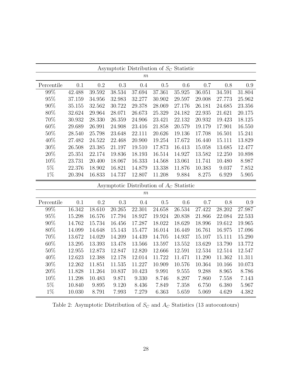<span id="page-29-0"></span>

|            |        |        |        |        | Asymptotic Distribution of $S_C$ Statistic |        |        |        |        |
|------------|--------|--------|--------|--------|--------------------------------------------|--------|--------|--------|--------|
|            |        |        |        | $\,m$  |                                            |        |        |        |        |
| Percentile | 0.1    | 0.2    | 0.3    | 0.4    | 0.5                                        | 0.6    | 0.7    | 0.8    | 0.9    |
| 99%        | 42.488 | 39.592 | 38.534 | 37.694 | 37.361                                     | 35.925 | 36.051 | 34.591 | 31.804 |
| 95%        | 37.159 | 34.956 | 32.983 | 32.277 | 30.902                                     | 29.597 | 29.008 | 27.773 | 25.962 |
| 90%        | 35.155 | 32.562 | 30.722 | 29.378 | 28.069                                     | 27.176 | 26.181 | 24.685 | 23.356 |
| 80%        | 32.624 | 29.964 | 28.071 | 26.673 | 25.329                                     | 24.182 | 22.935 | 21.621 | 20.175 |
| 70%        | 30.932 | 28.330 | 26.359 | 24.906 | 23.421                                     | 22.132 | 20.932 | 19.423 | 18.125 |
| 60%        | 29.689 | 26.991 | 24.908 | 23.416 | 21.858                                     | 20.579 | 19.179 | 17.901 | 16.550 |
| $50\%$     | 28.540 | 25.798 | 23.648 | 22.111 | 20.626                                     | 19.136 | 17.708 | 16.501 | 15.241 |
| 40%        | 27.482 | 24.522 | 22.468 | 20.900 | 19.254                                     | 17.672 | 16.440 | 15.111 | 13.829 |
| $30\%$     | 26.508 | 23.385 | 21.197 | 19.510 | 17.873                                     | 16.413 | 15.058 | 13.685 | 12.477 |
| 20%        | 25.351 | 22.174 | 19.836 | 18.193 | 16.514                                     | 14.927 | 13.582 | 12.250 | 10.898 |
| 10%        | 23.731 | 20.400 | 18.067 | 16.333 | 14.568                                     | 13.061 | 11.741 | 10.480 | 8.987  |
| $5\%$      | 22.376 | 18.902 | 16.821 | 14.879 | 13.338                                     | 11.876 | 10.383 | 9.037  | 7.852  |
| $1\%$      | 20.394 | 16.833 | 14.737 | 12.807 | 11.208                                     | 9.884  | 8.275  | 6.929  | 5.905  |
|            |        |        |        |        |                                            |        |        |        |        |
|            |        |        |        |        | Asymptotic Distribution of $A_C$ Statistic |        |        |        |        |
|            |        |        |        | $\,m$  |                                            |        |        |        |        |
| Percentile | 0.1    | 0.2    | 0.3    | 0.4    | 0.5                                        | 0.6    | 0.7    | 0.8    | 0.9    |
| 99%        | 16.342 | 18.610 | 20.265 | 22.301 | 24.658                                     | 26.534 | 27.422 | 28.202 | 27.987 |
| 95%        | 15.298 | 16.576 | 17.794 | 18.927 | 19.924                                     | 20.838 | 21.866 | 22.084 | 22.533 |
| 90%        | 14.762 | 15.734 | 16.456 | 17.287 | 18.022                                     | 18.629 | 18.996 | 19.612 | 19.965 |
| 80%        | 14.099 | 14.648 | 15.143 | 15.477 | 16.014                                     | 16.449 | 16.761 | 16.975 | 17.096 |
| 70%        | 13.672 | 14.029 | 14.209 | 14.439 | 14.705                                     | 14.937 | 15.107 | 15.111 | 15.290 |
| 60%        | 13.295 | 13.393 | 13.478 | 13.566 | 13.597                                     | 13.552 | 13.629 | 13.790 | 13.772 |
| 50%        | 12.955 | 12.873 | 12.847 | 12.820 | 12.666                                     | 12.591 | 12.534 | 12.514 | 12.547 |
| 40%        | 12.623 | 12.388 | 12.178 | 12.014 | 11.722                                     | 11.471 | 11.290 | 11.362 | 11.311 |
| $30\%$     | 12.262 | 11.851 | 11.535 | 11.227 | 10.909                                     | 10.576 | 10.364 | 10.166 | 10.073 |
| 20%        | 11.828 | 11.264 | 10.837 | 10.423 | 9.991                                      | 9.555  | 9.288  | 8.965  | 8.786  |
| 10%        | 11.298 | 10.483 | 9.871  | 9.330  | 8.746                                      | 8.297  | 7.860  | 7.558  | 7.143  |
| $5\%$      | 10.840 | 9.895  | 9.120  | 8.436  | 7.849                                      | 7.358  | 6.750  | 6.380  | 5.967  |

Table 2: Asymptotic Distribution of  $S_C$  and  $\mathcal{A}_C$  Statistics (13 autocontours)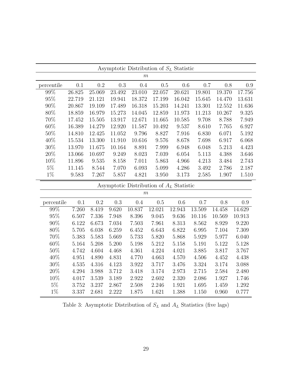<span id="page-30-0"></span>

|            |        |        |        | Asymptotic Distribution of $S_L$ Statistic |        |        |        |        |        |
|------------|--------|--------|--------|--------------------------------------------|--------|--------|--------|--------|--------|
|            |        |        |        | $\boldsymbol{m}$                           |        |        |        |        |        |
| percentile | 0.1    | 0.2    | 0.3    | 0.4                                        | 0.5    | 0.6    | 0.7    | 0.8    | 0.9    |
| 99%        | 26.825 | 25.069 | 23.492 | 23.010                                     | 22.057 | 20.621 | 19.801 | 19.370 | 17.756 |
| 95%        | 22.719 | 21.121 | 19.941 | 18.372                                     | 17.199 | 16.042 | 15.645 | 14.470 | 13.631 |
| 90%        | 20.867 | 19.109 | 17.489 | 16.318                                     | 15.203 | 14.241 | 13.301 | 12.552 | 11.636 |
| 80\%       | 18.859 | 16.979 | 15.273 | 14.045                                     | 12.859 | 11.973 | 11.213 | 10.267 | 9.325  |
| 70\%       | 17.452 | 15.505 | 13.917 | 12.671                                     | 11.665 | 10.585 | 9.708  | 8.788  | 7.949  |
| 60%        | 16.389 | 14.279 | 12.920 | 11.587                                     | 10.492 | 9.537  | 8.610  | 7.765  | 6.927  |
| 50%        | 14.810 | 12.425 | 11.052 | 9.796                                      | 8.827  | 7.916  | 6.830  | 6.071  | 5.192  |
| 40\%       | 15.534 | 13.300 | 11.910 | 10.616                                     | 9.576  | 8.678  | 7.698  | 6.917  | 6.068  |
| $30\%$     | 13.970 | 11.675 | 10.164 | 8.891                                      | 7.999  | 6.948  | 6.048  | 5.213  | 4.423  |
| 20%        | 13.066 | 10.697 | 9.249  | 8.023                                      | 7.039  | 6.054  | 5.113  | 4.388  | 3.646  |
| 10\%       | 11.896 | 9.535  | 8.158  | 7.011                                      | 5.863  | 4.966  | 4.213  | 3.484  | 2.743  |
| $5\%$      | 11.145 | 8.544  | 7.070  | 6.093                                      | 5.099  | 4.286  | 3.492  | 2.786  | 2.187  |
| $1\%$      | 9.583  | 7.267  | 5.857  | 4.821                                      | 3.950  | 3.173  | 2.585  | 1.907  | 1.510  |
|            |        |        |        | Asymptotic Distribution of $A_L$ Statistic |        |        |        |        |        |
|            |        |        |        | m                                          |        |        |        |        |        |
| percentile | 0.1    | 0.2    | 0.3    | 0.4                                        | 0.5    | 0.6    | 0.7    | 0.8    | 0.9    |
| 99%        | 7.260  | 8.419  | 9.620  | 10.837                                     | 12.021 | 12.943 | 13.509 | 14.458 | 14.629 |
|            |        |        |        |                                            |        |        |        |        |        |

| <b>Dercemente</b> | U.1   | ∪.∠   | U.O   | U.4    | U.O    | V.V    | U.1    | U.O    | U.Y    |
|-------------------|-------|-------|-------|--------|--------|--------|--------|--------|--------|
| 99%               | 7.260 | 8.419 | 9.620 | 10.837 | 12.021 | 12.943 | 13.509 | 14.458 | 14.629 |
| 95%               | 6.507 | 7.336 | 7.948 | 8.396  | 9.045  | 9.636  | 10.116 | 10.569 | 10.913 |
| $90\%$            | 6.122 | 6.673 | 7.034 | 7.503  | 7.961  | 8.313  | 8.562  | 8.929  | 9.220  |
| 80\%              | 5.705 | 6.038 | 6.259 | 6.452  | 6.643  | 6.822  | 6.995  | 7.104  | 7.309  |
| 70\%              | 5.383 | 5.583 | 5.669 | 5.733  | 5.820  | 5.868  | 5.929  | 5.977  | 6.040  |
| $60\%$            | 5.164 | 5.208 | 5.200 | 5.198  | 5.212  | 5.158  | 5.191  | 5.122  | 5.128  |
| $50\%$            | 4.742 | 4.604 | 4.468 | 4.361  | 4.224  | 4.021  | 3.885  | 3.817  | 3.767  |
| $40\%$            | 4.951 | 4.890 | 4.831 | 4.770  | 4.663  | 4.570  | 4.506  | 4.452  | 4.438  |
| 30\%              | 4.535 | 4.316 | 4.123 | 3.922  | 3.717  | 3.476  | 3.324  | 3.174  | 3.088  |
| 20%               | 4.294 | 3.988 | 3.712 | 3.418  | 3.174  | 2.973  | 2.715  | 2.584  | 2.480  |
| 10%               | 4.017 | 3.539 | 3.189 | 2.922  | 2.602  | 2.320  | 2.086  | 1.927  | 1.746  |
| $5\%$             | 3.752 | 3.237 | 2.867 | 2.508  | 2.246  | 1.921  | 1.695  | 1.459  | 1.292  |
| $1\%$             | 3.337 | 2.681 | 2.222 | 1.875  | 1.621  | 1.388  | 1.150  | 0.960  | 0.777  |

Table 3: Asymptotic Distribution of  $S_L$  and  $\mathcal{A}_L$  Statistics (five lags)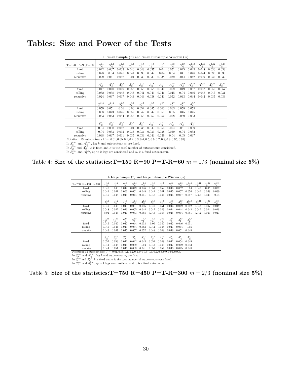# <span id="page-31-0"></span>Tables: Size and Power of the Tests

|                                                                                                        |                     |                 |                           | $\sqrt{2}$                |                 |                 |                              |                                      |                                           |                               |                            |                  |                                            |
|--------------------------------------------------------------------------------------------------------|---------------------|-----------------|---------------------------|---------------------------|-----------------|-----------------|------------------------------|--------------------------------------|-------------------------------------------|-------------------------------|----------------------------|------------------|--------------------------------------------|
| $T=150, R=90, P=60$                                                                                    | $S^{1,1}_{ t }$     | $S^{1,2}_{ t }$ | $S^{1,3}_{\vert t \vert}$ | $S^{1,4}_{\vert t \vert}$ | $S^{1,5}_{ t }$ | $S^{1,6}_{ t }$ | $S_{\left  t\right  }^{1,7}$ | $S_{\left\vert t\right\vert }^{1,8}$ | $S^{1,9}_{\lfloor \underline{t} \rfloor}$ | $S_{ t }^{1,10}$              | $S^{1,11}_{\vert t \vert}$ | $S_{ t }^{1,12}$ | $S^{1,13}_{\vert t \vert}$                 |
| fixed                                                                                                  | 0.042               | 0.037           | 0.033                     | 0.046                     | 0.049           | 0.037           | 0.04                         | 0.051                                | 0.045                                     | 0.045                         | 0.048                      | 0.036            | 0.039                                      |
| rolling                                                                                                | 0.028               | 0.04            | 0.041                     | 0.041                     | 0.038           | 0.042           | 0.04                         | 0.04                                 | 0.041                                     | 0.046                         | 0.044                      | 0.036            | 0.038                                      |
| recursive                                                                                              | 0.029               | 0.041           | 0.042                     | 0.04                      | 0.039           | 0.039           | 0.038                        | 0.039                                | 0.044                                     | 0.042                         | 0.039                      | 0.035            | 0.032                                      |
|                                                                                                        |                     |                 |                           |                           |                 |                 |                              |                                      |                                           |                               |                            |                  |                                            |
|                                                                                                        | $A^{1,1}_{ t }$     | $A^{1,2}_{ t }$ | $A^{1,3}_{ t }$           | $A^{1,4}_{ t }$           | $A^{1,5}_{ t }$ | $A^{1,6}_{ t }$ | $A^{1,7}_{ t }$              | $A^{1,8}_{ t }$                      | $A^{1,9}_{ t }$                           | $A_{\left  t\right  }^{1,10}$ | $A^{1,11}_{ t }$           | $A^{1,12}_{ t }$ | $A^{1,13}_{\lfloor \underline{t} \rfloor}$ |
| fixed                                                                                                  | 0.047               | 0.048           | 0.049                     | 0.056                     | 0.055           | 0.058           | 0.049                        | 0.059                                | 0.049                                     | 0.057                         | 0.052                      | 0.055            | 0.057                                      |
| rolling                                                                                                | 0.032               | 0.038           | 0.048                     | 0.043                     | 0.041           | 0.046           | 0.046                        | 0.045                                | 0.04                                      | 0.046                         | 0.048                      | 0.046            | 0.031                                      |
| recursive                                                                                              | 0.024               | 0.037           | 0.037                     | 0.043                     | 0.043           | 0.038           | 0.043                        | 0.052                                | 0.043                                     | 0.044                         | 0.042                      | 0.035            | 0.033                                      |
|                                                                                                        |                     |                 |                           |                           |                 |                 |                              |                                      |                                           |                               |                            |                  |                                            |
|                                                                                                        | ${\cal S}_C^{1,13}$ | $A_C^{1,13}$    | $S_L^{2,7}$               | $S_L^{3,7}$               | $S_L^{4,7}$     | $S_L^{5,7}$     | $A_L^{2,7}$                  | $A_L^{3,7}$                          | $A_L^{4,7}$                               | $A^{5,7}_L$                   |                            |                  |                                            |
| fixed                                                                                                  | 0.059               | 0.051           | 0.06                      | 0.06                      | 0.052           | 0.045           | 0.063                        | 0.063                                | 0.058                                     | 0.055                         |                            |                  |                                            |
| rolling                                                                                                | 0.038               | 0.043           | 0.045                     | 0.052                     | 0.042           | 0.042           | 0.051                        | 0.05                                 | 0.045                                     | 0.045                         |                            |                  |                                            |
| recursive                                                                                              | 0.033               | 0.043           | 0.044                     | 0.055                     | 0.053           | 0.052           | 0.052                        | 0.058                                | 0.039                                     | 0.033                         |                            |                  |                                            |
|                                                                                                        |                     |                 |                           |                           |                 |                 |                              |                                      |                                           |                               |                            |                  |                                            |
|                                                                                                        | $S^{1,7}_{ t }$     | $S^{2,7}_{ t }$ | $S^{3,7}_{ t }$           | $S_{ t }^{4,7}$           | $S^{5,7}_{ t }$ | $A^{1,7}_{ t }$ | $A^{2,7}_{ t }$              | $A^{3,7}_{ t }$                      | $A^{4,7}_{ t }$                           | $A^{5,7}_{ t }$               |                            |                  |                                            |
| fixed                                                                                                  | 0.04                | 0.038           | 0.042                     | 0.04                      | 0.038           | 0.049           | 0.053                        | 0.054                                | 0.051                                     | 0.039                         |                            |                  |                                            |
| rolling                                                                                                | 0.04                | 0.033           | 0.032                     | 0.033                     | 0.034           | 0.036           | 0.038                        | 0.039                                | 0.04                                      | 0.032                         |                            |                  |                                            |
| recursive                                                                                              | 0.038               | 0.037           | 0.031                     | 0.035                     | 0.034           | 0.043           | 0.039                        | 0.04                                 | 0.05                                      | 0.037                         |                            |                  |                                            |
| Notation: 13 autocontours $C = [0.01, 0.05, 0.1, 0.2, 0.3, 0.4, 0.5, 0.6, 0.7, 0.8, 0.9, 0.95, 0.99].$ |                     |                 |                           |                           |                 |                 |                              |                                      |                                           |                               |                            |                  |                                            |
| In $S_{ t }^{k,\alpha_i}$ and $A_{ t }^{k,\alpha_i}$ , lag k and autocontour $\alpha_i$ are fixed.     |                     |                 |                           |                           |                 |                 |                              |                                      |                                           |                               |                            |                  |                                            |

I. Small Sample  $(T)$  and Small Subsample Window  $(m)$ 

In  $S_{\alpha}^{k,\alpha}$  and  $A_{\alpha}^{k,\alpha}$ , k is fixed and  $\alpha$  is the total number of autocontours considered.<br>In  $S_{\alpha}^{k,\alpha_i}$  and  $A_{\alpha}^{k,\alpha_i}$ , up to k lags are considered and  $\alpha_i$  is a fixed autocontour.

<span id="page-31-1"></span>Table 4: Size of the statistics:  $T=150$  R=90 P=T-R=60  $m = 1/3$  (nominal size 5%)

|                                                                                                                              |                             |                   |                                     |                              |                 |                          |                             | II. Large Sample $(T)$ and Large Subsample Window $(m)$ |                 |                  |                           |                               |                              |
|------------------------------------------------------------------------------------------------------------------------------|-----------------------------|-------------------|-------------------------------------|------------------------------|-----------------|--------------------------|-----------------------------|---------------------------------------------------------|-----------------|------------------|---------------------------|-------------------------------|------------------------------|
| $T=750, R=450, P=300$                                                                                                        | $S^{1,1}_{\underline{ t }}$ | $S^{1,2}_{ t }$   | $S^{1,3}_{\vert\underline{t}\vert}$ | $S_{\left  t\right  }^{1,4}$ | $S^{1,5}_{ t }$ | $S_{\vert t\vert}^{1,6}$ | $S_{\underline{ t }}^{1,7}$ | $S_{\vert t\vert}^{1,8}$                                | $S^{1,9}_{ t }$ | $S^{1,10}_{ t }$ | $S^{1,11}_{ t }$          | $S_{\left  t\right  }^{1,12}$ | $S^{1,13}_{ t }$             |
| fixed                                                                                                                        | 0.048                       | 0.040             | 0.044                               | 0.049                        | 0.046           | 0.051                    | 0.052                       | 0.048                                                   | 0.052           | 0.04             | 0.042                     | 0.05                          | 0.032                        |
| rolling                                                                                                                      | 0.049                       | 0.041             | 0.056                               | 0.051                        | 0.048           | 0.041                    | 0.041                       | 0.045                                                   | 0.057           | 0.056            | 0.049                     | 0.038                         | 0.039                        |
| recursive                                                                                                                    | 0.046                       | 0.048             | 0.045                               | 0.044                        | 0.051           | 0.048                    | 0.044                       | 0.045                                                   | 0.047           | 0.057            | 0.058                     | 0.039                         | 0.04                         |
|                                                                                                                              | $A^{1,1}_{ t }$             | $A^{1,2}_{\rm H}$ | $A^{1,3}_{ t }$                     | $A^{1,4}_{ t }$              | $A^{1,5}_{ t }$ | $A^{1,6}_{ t }$          | $A^{1,7}_{ t }$             | $A^{1,8}_{ t }$                                         | $A^{1,9}_{ t }$ | $A^{1,10}_{[t]}$ | $A^{1,11}_{\vert t\vert}$ | $A^{1,12}_{\vert t \vert}$    | $A^{1,13}_{\underline{ t }}$ |
| fixed                                                                                                                        | 0.049                       | 0.045             | 0.049                               | 0.051                        | 0.046           | 0.049                    | 0.051                       | 0.043                                                   | 0.049           | 0.052            | 0.043                     | 0.047                         | 0.049                        |
| rolling                                                                                                                      | 0.048                       | 0.042             | 0.046                               | 0.055                        | 0.044           | 0.047                    | 0.043                       | 0.044                                                   | 0.044           | 0.043            | 0.049                     | 0.044                         | 0.048                        |
| recursive                                                                                                                    | 0.04                        | 0.043             | 0.041                               | 0.063                        | 0.065           | 0.045                    | 0.053                       | 0.045                                                   | 0.044           | 0.051            | 0.042                     | 0.044                         | 0.043                        |
|                                                                                                                              | $S_C^{1,13}$                | $A_C^{1,13}$      | $S_L^{2,7}$                         | $S_L^{3,7}$                  | $S_L^{4,7}$     | $S_L^{5,7}$              | $A_L^{2,7}$                 | $A^{3,7}_L$                                             | $A_L^{4,7}$     | $A^{5,7}_L$      |                           |                               |                              |
| fixed                                                                                                                        | 0.045                       | 0.049             | 0.047                               | 0.044                        | 0.053           | 0.05                     | 0.049                       | 0.042                                                   | 0.046           | 0.051            |                           |                               |                              |
| rolling                                                                                                                      | 0.045                       | 0.044             | 0.043                               | 0.064                        | 0.063           | 0.044                    | 0.048                       | 0.041                                                   | 0.044           | 0.05             |                           |                               |                              |
| recursive                                                                                                                    | 0.043                       | 0.047             | 0.045                               | 0.057                        | 0.052           | 0.048                    | 0.048                       | 0.048                                                   | 0.051           | 0.048            |                           |                               |                              |
|                                                                                                                              | $S_{ t }^{1,7}$             | $S^{2,7}_{ t }$   | $S^{3,7}_{ t }$                     | $S^{4,7}_{ t }$              | $S_{ t }^{5,7}$ | $A^{1,7}_{ t }$          |                             | $A^{3,7}_{ t }$                                         | $A^{4,7}_{ t }$ | $A^{5,7}_{ t }$  |                           |                               |                              |
| fixed                                                                                                                        | 0.052                       | 0.053             | 0.042                               | 0.042                        | 0.043           | 0.051                    | 0.048                       | 0.042                                                   | 0.054           | 0.049            |                           |                               |                              |
| rolling                                                                                                                      | 0.041                       | 0.048             | 0.043                               | 0.039                        | 0.04            | 0.043                    | 0.043                       | 0.047                                                   | 0.049           | 0.043            |                           |                               |                              |
| recursive                                                                                                                    | 0.044                       | 0.051             | 0.041                               | 0.038                        | 0.041           | 0.053                    | 0.054                       | 0.043                                                   | 0.045           | 0.048            |                           |                               |                              |
| Notation: 13 autocontours $C = [0.01, 0.05, 0.1, 0.2, 0.3, 0.4, 0.5, 0.6, 0.7, 0.8, 0.9, 0.95, 0.99].$                       |                             |                   |                                     |                              |                 |                          |                             |                                                         |                 |                  |                           |                               |                              |
| In $S_{\text{H}}^{k,\alpha_i}$ and $A_{\text{H}}^{k,\alpha_i}$ , lag k and autocontour $\alpha_i$ are fixed.                 |                             |                   |                                     |                              |                 |                          |                             |                                                         |                 |                  |                           |                               |                              |
| In $S_G^{\kappa,\alpha}$ and $A_G^{\kappa,\alpha}$ , k is fixed and $\alpha$ is the total number of autocontours considered. |                             |                   |                                     |                              |                 |                          |                             |                                                         |                 |                  |                           |                               |                              |
| In $S_t^{k,\alpha_i}$ and $A_t^{k,\alpha_i}$ , up to k lags are considered and $\alpha_i$ is a fixed autocontour.            |                             |                   |                                     |                              |                 |                          |                             |                                                         |                 |                  |                           |                               |                              |

## Table 5: Size of the statistics:  $T=750$  R=450 P=T-R=300  $m = 2/3$  (nominal size 5%)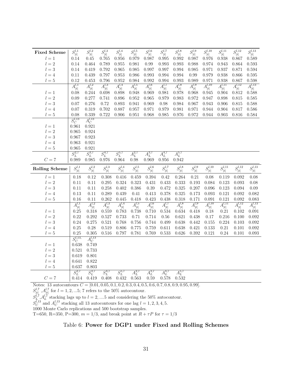<span id="page-32-0"></span>

| <b>Fixed Scheme</b>   | $S^{l,1}_{\vert t \vert}$ | $S^{l,2}_{\vert t \vert}$ | $S^{l,3}_{\vert t \vert}$ | $S^{l,4}_{\vert t \vert}$ | $S^{l,5}_{\vert t \vert}$          | $S^{l,6}_{\vert t \vert}$ | $S^{l,7}_{\vert t \vert}$ | $S^{l,8}_{ t }$           | $S^{l,9}_{\vert t \vert}$ | $S_{\vert t\vert}^{l,10}$ | $S^{l,11}_{\vert t \vert}$ | $S^{l,12}_{\vert t \vert}$ | $S_{ t }^{l,13}$           |
|-----------------------|---------------------------|---------------------------|---------------------------|---------------------------|------------------------------------|---------------------------|---------------------------|---------------------------|---------------------------|---------------------------|----------------------------|----------------------------|----------------------------|
| $l=1$                 | 0.14                      | 0.45                      | 0.765                     | 0.956                     | 0.979                              | 0.987                     | 0.995                     | 0.992                     | 0.987                     | 0.976                     | 0.938                      | 0.867                      | 0.589                      |
| $l=2$                 | 0.14                      | 0.464                     | 0.789                     | 0.955                     | 0.981                              | 0.99                      | 0.993                     | 0.993                     | 0.988                     | 0.974                     | 0.943                      | 0.864                      | 0.593                      |
| $l=3$                 | 0.14                      | 0.419                     | 0.792                     | 0.965                     | 0.985                              | 0.997                     | 0.997                     | 0.994                     | 0.985                     | 0.971                     | 0.937                      | 0.871                      | 0.594                      |
| $l=4$                 | 0.11                      | 0.439                     | 0.797                     | 0.953                     | 0.986                              | 0.993                     | 0.994                     | 0.994                     | 0.99                      | 0.979                     | 0.938                      | 0.866                      | 0.595                      |
| $l=5$                 | 0.12                      | 0.453                     | 0.796                     | 0.952                     | 0.984                              | 0.992                     | 0.994                     | 0.993                     | 0.989                     | 0.971                     | 0.938                      | 0.867                      | 0.598                      |
|                       | $A_{ t }^{l,1}$           | $A^{l,2}_{ t }$           | $A^{l,3}_{ t }$           | $A_{ t }^{l,4}$           | $A^{l,5}_{ t }$                    | $A^{l,6}_{ t }$           | $A^{l,7}_{ t }$           | $A^{l,8}_{ t }$           | $A^{l,9}_{ t }$           | $A^{l,10}_{ t }$          | $A_{ t }^{l,11}$           | $A^{l,12}_{ t }$           | $A^{l,13}_{ t }$           |
| $l=1$                 | 0.08                      | 0.244                     | 0.698                     | 0.898                     | 0.948                              | 0.969                     | 0.981                     | 0.978                     | 0.968                     | 0.945                     | 0.904                      | 0.812                      | 0.588                      |
| $l=2$                 | 0.09                      | 0.277                     | 0.741                     | 0.896                     | 0.952                              | 0.965                     | 0.979                     | 0.983                     | 0.972                     | 0.947                     | 0.898                      | 0.815                      | 0.585                      |
| $l=3$                 | 0.07                      | 0.276                     | 0.72                      | 0.893                     | 0.941                              | 0.969                     | 0.98                      | 0.984                     | 0.967                     | 0.943                     | 0.906                      | 0.815                      | 0.588                      |
| $l=4$                 | 0.07                      | 0.319                     | 0.702                     | 0.887                     | 0.957                              | 0.971                     | 0.979                     | 0.981                     | 0.971                     | 0.944                     | 0.904                      | 0.817                      | 0.586                      |
| $l=5$                 | 0.08                      | 0.339                     | 0.722                     | 0.906                     | 0.951                              | 0.968                     | 0.985                     | 0.976                     | 0.972                     | 0.944                     | 0.903                      | 0.816                      | 0.584                      |
|                       | $S_C^{l,13}$              | $A_C^{l,13}$              |                           |                           |                                    |                           |                           |                           |                           |                           |                            |                            |                            |
| $l=1$                 | 0.961                     | 0.921                     |                           |                           |                                    |                           |                           |                           |                           |                           |                            |                            |                            |
| $l=2$                 | 0.965                     | 0.924                     |                           |                           |                                    |                           |                           |                           |                           |                           |                            |                            |                            |
| $l=3$                 | 0.967                     | 0.923                     |                           |                           |                                    |                           |                           |                           |                           |                           |                            |                            |                            |
| $l=4$                 | 0.963                     | 0.921                     |                           |                           |                                    |                           |                           |                           |                           |                           |                            |                            |                            |
| $l=5$                 | 0.965                     | 0.921                     |                           |                           |                                    |                           |                           |                           |                           |                           |                            |                            |                            |
|                       | $S_L^{2,7}$               | $S_L^{3,7}$               | $S_L^{4,7}$               | $S_L^{5,7}$               | $A_L^{2,7}$                        | $A_L^{3,7}$               | $A_L^{4,7}$               | $A_L^{5,7}$               |                           |                           |                            |                            |                            |
| $C=7$                 | 0.989                     | 0.985                     | 0.976                     | 0.964                     | 0.98                               | 0.969                     | $\,0.956\,$               | 0.942                     |                           |                           |                            |                            |                            |
|                       |                           |                           |                           |                           |                                    |                           |                           |                           |                           |                           |                            |                            |                            |
| <b>Rolling Scheme</b> | $S^{l,1}_{\vert t \vert}$ |                           | $S^{l,3}_{\vert t \vert}$ |                           |                                    | $S^{l,6}_{\vert t \vert}$ |                           | $S^{l,8}_{\vert t \vert}$ | $S^{l,9}_{\vert t \vert}$ | $S_{\vert t\vert}^{l,10}$ | $S^{l,11}_{\vert t \vert}$ | $S^{l,12}_{\vert t \vert}$ | $S^{l,13}_{\vert t \vert}$ |
| $l=1$                 |                           | $S^{l,2}_{\vert t \vert}$ |                           | $S^{l,4}_{ t }$           | $S^{l,5}_{\vert t \vert}$<br>0.459 |                           | $S^{l,7}_{\vert t \vert}$ |                           |                           | 0.08                      |                            | 0.092                      |                            |
| $l=2$                 | 0.18<br>0.11              | 0.12<br>0.11              | 0.308<br>0.295            | 0.416<br>0.324            | 0.323                              | 0.394<br>0.431            | 0.42<br>0.433             | 0.264<br>0.333            | 0.21<br>0.193             | 0.084                     | 0.119<br>0.123             | 0.093                      | 0.08<br>$0.08\,$           |
| $l=3\,$               | 0.11                      | 0.11                      | 0.258                     | 0.402                     | 0.386                              | 0.39                      | 0.472                     | 0.325                     | 0.207                     | 0.096                     | 0.123                      | 0.094                      | 0.09                       |
| $l=4$                 | 0.13                      | 0.11                      | 0.289                     | 0.439                     | 0.41                               | 0.413                     | 0.378                     | 0.325                     | 0.173                     | 0.093                     | 0.121                      | 0.092                      | 0.082                      |
| $l=5$                 | 0.16                      | 0.11                      | 0.262                     | 0.445                     | 0.418                              | 0.423                     | 0.438                     | 0.318                     | 0.171                     | 0.091                     | 0.121                      | 0.092                      | 0.083                      |
|                       |                           |                           |                           |                           |                                    |                           |                           |                           |                           |                           |                            |                            |                            |
|                       | $A^{l,1}_{ t }$           | $A^{l,2}_{ t }$           | $A^{l,3}_{ t }$           | $A^{l,4}_{ t }$           | $A^{l,5}_{ t }$                    | $A^{l,6}_{ t }$           | $A^{l,7}_{ t }$           | $A^{l,8}_{ t }$           | $A^{l,9}_{ t }$           | $A^{l,10}_{ t }$          | $A^{l,11}_{ t }$           | $A^{l,12}_{ t }$           | $A^{l,13}_{ t }$           |
| $l=1$<br>$l=2$        | 0.25                      | $0.318\,$                 | 0.559                     | 0.783                     | 0.738                              | 0.710                     | 0.534<br>0.56             | 0.634                     | 0.418                     | 0.18                      | 0.21                       | 0.102                      | 0.091                      |
| $l=3$                 | 0.22<br>0.24              | 0.292<br>0.275            | 0.527<br>0.521            | 0.733<br>0.768            | 0.71<br>0.756                      | 0.714<br>0.744            | 0.499                     | 0.621<br>0.638            | 0.438<br>0.442            | 0.17<br>0.155             | $0.216\,$<br>0.224         | 0.100<br>0.103             | 0.092<br>$\,0.092\,$       |
| $l=4$                 | 0.25                      | 0.28                      | 0.519                     | 0.806                     | 0.775                              | 0.759                     | 0.611                     | 0.638                     | 0.421                     | 0.133                     | $\rm 0.21$                 | 0.101                      | 0.092                      |
| $l=5$                 | 0.25                      | 0.305                     | 0.516                     | 0.797                     | 0.781                              | 0.769                     | 0.533                     | 0.626                     | 0.392                     | 0.121                     | 0.24                       | 0.101                      | 0.093                      |
|                       |                           |                           |                           |                           |                                    |                           |                           |                           |                           |                           |                            |                            |                            |
| $l=1$                 | $S_C^{l,13}$              | $A_C^{l,13}$              |                           |                           |                                    |                           |                           |                           |                           |                           |                            |                            |                            |
| $l=2$                 | 0.638<br>0.521            | 0.749<br>0.733            |                           |                           |                                    |                           |                           |                           |                           |                           |                            |                            |                            |
| $l=3$                 | 0.619                     | 0.801                     |                           |                           |                                    |                           |                           |                           |                           |                           |                            |                            |                            |
| $l=4$                 | 0.641                     | 0.822                     |                           |                           |                                    |                           |                           |                           |                           |                           |                            |                            |                            |
| $l=5$                 | 0.637                     | 0.803                     |                           |                           |                                    |                           |                           |                           |                           |                           |                            |                            |                            |
|                       | $S_L^{2,7}$               | $S_L^{3,7}$               | $S_L^{4,7}$               | $S_L^{5,7}$               | $A_L^{2,7}$                        | $A_L^{3,7}$               | $A_L^{4,7}$               | $A_L^{5,7}$               |                           |                           |                            |                            |                            |

 $S_{|t|}^{l,7}, A_{|t|}^{l,7}$  for  $l = 1, 2, ...5$ ; 7 refers to the 50% autocontour.

 $S_L^{l,7}$ ,  $A_L^{l,7}$  stacking lags up to  $l = 2, \dots 5$  and considering the 50% autocontour.

 $S_C^{l,13}$  and  $A_C^{l,13}$  stacking all 13 autocontours for one lag  $l = 1, 2, 3, 4, 5$ .

1000 Monte Carlo replications and 500 bootstrap samples.

T=650, R=350, P=300,  $m=1/3,$  and break point at  $R+\tau P$  for  $\tau=1/3$ 

# Table 6: Power for DGP1 under Fixed and Rolling Schemes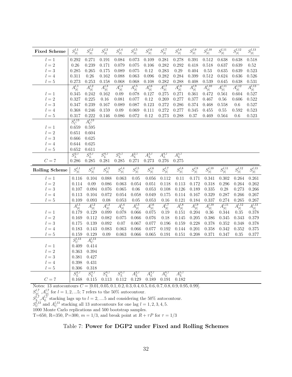| <b>Fixed Scheme</b>     | $S^{l,1}_{\vert t \vert}$           | $S^{l,2}_{\vert t \vert}$ | $S^{l,3}_{\vert t \vert}$ | $S^{l,4}_{\vert t \vert}$ | $S^{l,5}_{\vert t \vert}$ | $S^{l,6}_{\vert t \vert}$ | $S^{l,7}_{\vert t \vert}$  | $S^{l,8}_{\vert t \vert}$       | $S^{l,9}_{\vert t \vert}$ | $S^{l,10}_{\vert t \vert}$ | $S^{l,11}_{\vert t \vert}$ | $S^{l,12}_{\vert t \vert}$ | $S_{ t }^{l,13}$           |
|-------------------------|-------------------------------------|---------------------------|---------------------------|---------------------------|---------------------------|---------------------------|----------------------------|---------------------------------|---------------------------|----------------------------|----------------------------|----------------------------|----------------------------|
| $l=1$                   | 0.292                               | 0.271                     | 0.191                     | 0.084                     | 0.073                     | 0.109                     | 0.281                      | 0.278                           | 0.391                     | 0.512                      | 0.638                      | 0.638                      | 0.518                      |
| $l=2$                   | 0.26                                | 0.239                     | 0.171                     | 0.079                     | 0.075                     | 0.106                     | 0.282                      | 0.292                           | 0.418                     | 0.518                      | 0.637                      | 0.639                      | 0.52                       |
| $l=3$                   | 0.285                               | 0.265                     | 0.175                     | 0.089                     | 0.075                     | 0.12                      | 0.283                      | 0.29                            | 0.404                     | 0.53                       | 0.635                      | 0.639                      | 0.523                      |
| $l = 4$                 | 0.311                               | 0.26                      | 0.162                     | 0.088                     | 0.063                     | 0.096                     | 0.282                      | 0.284                           | 0.399                     | 0.512                      | 0.624                      | 0.636                      | 0.526                      |
| $l=5$                   | 0.273                               | 0.253                     | 0.158                     | 0.068                     | 0.068                     | 0.108                     | 0.282                      | 0.288                           | 0.408                     | 0.539                      | 0.645                      | 0.638                      | 0.531                      |
|                         | $A^{l,1}_{ t }$                     | $A^{l,2}_{ t }$           | $A^{l,3}_{\vert t \vert}$ | $A^{l,4}_{ t }$           | $A^{l,5}_{ t }$           | $A^{l,6}_{ t }$           | $\overline{A^{l,7}_{ t }}$ | $A^{l,8}_{ t }$                 | $A^{l,9}_{ t }$           | $A^{l,10}_{ t }$           | $A^{l,11}_{ t }$           | $A^{l,12}_{ t }$           | $A^{l,13}_{ t }$           |
| $l=1$                   | 0.345                               | 0.242                     | 0.162                     | 0.09                      | 0.078                     | 0.127                     | 0.275                      | 0.271                           | 0.361                     | 0.472                      | 0.561                      | 0.604                      | 0.527                      |
| $l=2$                   | 0.327                               | 0.225                     | 0.16                      | 0.081                     | 0.077                     | 0.12                      | 0.269                      | 0.277                           | 0.377                     | 0.467                      | 0.56                       | 0.606                      | 0.522                      |
| $l=3$                   | 0.347                               | 0.239                     | 0.167                     | 0.089                     | 0.087                     | 0.123                     | 0.272                      | 0.286                           | 0.374                     | 0.468                      | 0.558                      | $0.6\,$                    | 0.527                      |
| $l=4$                   | 0.368                               | 0.246                     | 0.159                     | 0.09                      | 0.069                     | 0.111                     | 0.272                      | 0.277                           | 0.345                     | 0.455                      | 0.55                       | 0.592                      | 0.523                      |
| $l=5$                   | 0.317                               | 0.222                     | 0.146                     | 0.086                     | 0.072                     | 0.12                      | 0.273                      | 0.288                           | 0.37                      | 0.469                      | 0.564                      | 0.6                        | 0.523                      |
|                         | $S_C^{l,13}$                        | $A_C^{l,13}$              |                           |                           |                           |                           |                            |                                 |                           |                            |                            |                            |                            |
| $l=1$                   | 0.659                               | 0.595                     |                           |                           |                           |                           |                            |                                 |                           |                            |                            |                            |                            |
| $\overline{2}$<br>$l =$ | 0.651                               | 0.604                     |                           |                           |                           |                           |                            |                                 |                           |                            |                            |                            |                            |
| $l=3\,$                 | 0.666                               | 0.625                     |                           |                           |                           |                           |                            |                                 |                           |                            |                            |                            |                            |
| $l=4$                   | 0.644                               | 0.625                     |                           |                           |                           |                           |                            |                                 |                           |                            |                            |                            |                            |
| $l=5$                   | 0.652                               | 0.611                     |                           |                           |                           |                           |                            |                                 |                           |                            |                            |                            |                            |
|                         | $S_L^{2,7}$                         | $S_L^{3,7}$               | $S_L^{4,7}$               | $S_L^{5,7}$               | $A_L^{2,7}$               | $A_L^{3,7}$               | $A_L^{4,7}$                | $A_L^{5,7}$                     |                           |                            |                            |                            |                            |
| ${\cal C}=7$            | 0.286                               | 0.285                     | 0.281                     | 0.285                     | 0.271                     | 0.273                     | 0.276                      | 0.275                           |                           |                            |                            |                            |                            |
|                         |                                     |                           |                           |                           |                           |                           |                            |                                 |                           |                            |                            |                            |                            |
| <b>Rolling Scheme</b>   | $S^{l,1}_{\vert t \vert}$           | $S^{l,2}_{\vert t \vert}$ | $S^{l,3}_{\vert t \vert}$ | $S^{l,4}_{\vert t \vert}$ | $S^{l,5}_{\vert t \vert}$ | $S^{l,6}_{\vert t \vert}$ | $S^{l,7}_{ t }$            | $S^{l,8}_{\vert t \vert}$       | $S^{l,9}_{\vert t \vert}$ | $S^{l,10}_{\vert t \vert}$ | $S_{ t }^{l,11}$           | $S^{l,12}_{\vert t \vert}$ | $S^{l,13}_{\vert t \vert}$ |
| $l=1$                   | 0.116                               | 0.104                     | 0.088                     | 0.063                     | $0.05\,$                  | 0.056                     | 0.112                      | 0.11                            | 0.171                     | 0.341                      | 0.302                      | 0.264                      | 0.261                      |
| $l=2\,$                 | 0.114                               | 0.09                      | 0.086                     | 0.063                     | 0.054                     | 0.051                     | 0.118                      | 0.113                           | 0.172                     | 0.318                      | 0.296                      | 0.264                      | 0.262                      |
| $l=3\,$                 | 0.107                               | 0.094                     | 0.076                     | 0.065                     | 0.06                      | 0.053                     | 0.108                      | 0.126                           | 0.189                     | 0.335                      | 0.28                       | 0.273                      | 0.266                      |
| $l = 4$                 | 0.113                               | 0.104                     | 0.072                     | 0.054                     | 0.058                     | 0.049                     | 0.175                      | 0.114                           | 0.167                     | 0.329                      | 0.287                      | 0.266                      | 0.267                      |
| $l=5$                   | 0.109                               | 0.093                     | 0.08                      | 0.053                     | 0.05                      | 0.053                     | 0.16                       | 0.121                           | 0.184                     | 0.337                      | 0.274                      | 0.265                      | 0.267                      |
|                         |                                     |                           |                           |                           |                           |                           |                            |                                 |                           |                            |                            |                            |                            |
| $l=1$                   | $\overline{A^{l,1}_{ t }}$<br>0.179 | $A^{l,2}_{ t }$<br>0.129  | $A_{ t }^{l,3}$<br>0.099  | $A_{ t }^{l,4}$<br>0.078  | $A^{l,5}_{ t }$<br>0.066  | $A^{l,6}_{ t }$<br>0.075  | $A^{l,7}_{ t }$<br>0.19    | $A^{l,8}_{ t }$<br>0.151        | $A^{l,9}_{ t }$<br>0.204  | $A^{l,10}_{ t }$<br>0.36   | $A^{l,11}_{ t }$<br>0.344  | $A^{l,12}_{ t }$<br>0.35   | $A^{l,13}_{ t }$<br>0.378  |
| $l=2\,$                 | 0.169                               | 0.112                     | 0.082                     | 0.075                     | 0.066                     | 0.076                     | 0.18                       | 0.145                           | 0.205                     | 0.386                      | 0.345                      | 0.343                      | 0.379                      |
| $l=3$                   | 0.175                               | 0.139                     | 0.092                     | 0.07                      | 0.067                     | 0.077                     | 0.196                      | 0.159                           | 0.228                     | 0.378                      | 0.352                      | 0.348                      | 0.378                      |
| $l=4$                   | 0.183                               | 0.143                     | 0.083                     | 0.063                     | 0.066                     | 0.077                     | 0.192                      | 0.144                           | 0.201                     | 0.358                      | 0.342                      | 0.352                      | $0.375\,$                  |
| $l=5$                   | 0.159                               | 0.129                     | 0.09                      | 0.063                     | 0.066                     | 0.065                     | 0.191                      | 0.151                           | 0.208                     | 0.371                      | 0.347                      | 0.35                       | 0.377                      |
|                         |                                     | $A_C^{l,13}$              |                           |                           |                           |                           |                            |                                 |                           |                            |                            |                            |                            |
| $l=1$                   | $S_C^{l,13}$<br>0.409               | 0.414                     |                           |                           |                           |                           |                            |                                 |                           |                            |                            |                            |                            |
| $l=2\,$                 | 0.363                               | 0.394                     |                           |                           |                           |                           |                            |                                 |                           |                            |                            |                            |                            |
| $l=3$                   | 0.381                               | 0.427                     |                           |                           |                           |                           |                            |                                 |                           |                            |                            |                            |                            |
| $l=4$                   | 0.398                               | 0.431                     |                           |                           |                           |                           |                            |                                 |                           |                            |                            |                            |                            |
| $l=5$                   | 0.306                               | 0.318                     |                           |                           |                           |                           |                            |                                 |                           |                            |                            |                            |                            |
| $C=7$                   | $S_L^{2,7}$<br>0.168                | $S_L^{3,7}$<br>0.115      | $S_L^{4,7}$<br>0.113      | $S_L^{5,7}$<br>0.112      | $A_L^{2,7}$<br>0.129      | $A_L^{3,7}$<br>0.189      | $A_L^{4,7}$<br>0.191       | $\overline{A_L^{5,7}}$<br>0.182 |                           |                            |                            |                            |                            |

 $S_{|t|}^{l,7}, A_{|t|}^{l,7}$  for  $l = 1, 2, ...5$ ; 7 refers to the 50% autocontour.

 $S_L^{l,7}$ ,  $A_L^{l,7}$  stacking lags up to  $l = 2, \dots 5$  and considering the 50% autocontour.

 $S_C^{l,13}$  and  $A_C^{l,13}$  stacking all 13 autocontours for one lag  $l = 1, 2, 3, 4, 5$ .

1000 Monte Carlo replications and 500 bootstrap samples.

T=650, R=350, P=300,  $m = 1/3$ , and break point at  $R + \tau P$  for  $\tau = 1/3$ 

# Table 7: Power for DGP2 under Fixed and Rolling Schemes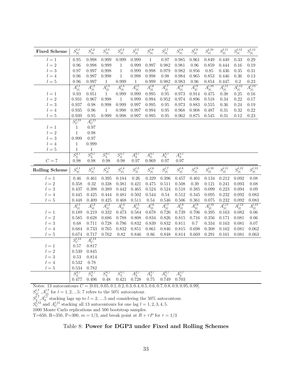| $\,1$<br>0.95<br>0.998<br>0.999<br>0.999<br>0.999<br>0.97<br>0.985<br>0.961<br>0.849<br>0.449<br>0.33<br>0.29<br>$l=1$<br>$l=2\,$<br>0.96<br>0.998<br>0.999<br>0.997<br>0.982<br>0.981<br>$\mathbf{1}$<br>0.999<br>0.96<br>0.859<br>0.444<br>0.16<br>0.19<br>$l=3$<br>0.97<br>0.997<br>0.998<br>$\mathbf{1}$<br>0.998<br>0.979<br>0.982<br>0.956<br>0.436<br>0.35<br>$\rm 0.31$<br>0.999<br>0.85<br>0.96<br>0.997<br>0.998<br>$\mathbf{1}$<br>0.998<br>0.998<br>0.98<br>0.984<br>0.965<br>0.853<br>0.446<br>0.36<br>0.13<br>$l=4$<br>0.96<br>0.997<br>0.999<br>0.999<br>0.982<br>0.983<br>0.96<br>0.854<br>0.447<br>0.2<br>0.23<br>$l=5$<br>$\mathbf{1}$<br>1<br>$A^{l,12}_{ t }$<br>$\overline{A^{l,10}_{ t }}$<br>$A^{l,11}_{ t }$<br>$A^{l,13}_{ t }$<br>$A^{l,1}_{ t }$<br>$A^{l,2}_{ t }$<br>$A^{l,3}_{ t }$<br>$A^{l,4}_{ t }$<br>$A^{l,5}_{ t }$<br>$A^{l,6}_{ t }$<br>$A^{l,7}_{ t }$<br>$A^{l,8}_{ t }$<br>$A^{l,9}_{ t }$<br>0.93<br>$l=1$<br>0.999<br>0.995<br>0.973<br>0.914<br>0.38<br>0.951<br>1<br>0.999<br>0.95<br>0.475<br>0.25<br>0.16<br>$l=2$<br>0.931<br>$1\,$<br>0.994<br>0.974<br>0.34<br>0.22<br>0.17<br>0.967<br>0.998<br>0.999<br>0.952<br>0.896<br>0.518<br>$l=3\,$<br>0.998<br>0.995<br>0.883<br>0.36<br>0.24<br>0.19<br>0.937<br>0.98<br>0.999<br>0.997<br>0.95<br>0.973<br>0.555<br>0.935<br>0.994<br>0.968<br>0.908<br>$\rm 0.31$<br>0.32<br>0.22<br>$0.96\,$<br>0.998<br>0.997<br>0.95<br>0.487<br>$l=4$<br>$\mathbf{1}$<br>0.939<br>0.95<br>0.999<br>0.997<br>0.995<br>0.962<br>0.875<br>0.31<br>0.12<br>0.23<br>$l=5$<br>0.998<br>0.95<br>0.545<br>$S_C^{l,13}$<br>$A_C^{l,13}$<br>$\mathbf{1}$<br>0.97<br>$l=1$<br>$l=2$<br>$\,1\,$<br>0.98<br>$l=3\,$<br>$0.97\,$<br>0.999<br>$l = 4$<br>$\mathbf{1}$<br>0.999<br>$\mathbf{1}$<br>$l=5$<br>$\mathbf{1}$<br>$S_L^{2,7}$<br>$S_L^{3,7}$<br>$S_L^{4,7}$<br>$S_L^{5,7}$<br>$A_L^{2,7}$<br>$A_L^{3,7}$<br>$A_L^{4,7}$<br>$A_L^{5,7}$<br>${\cal C}=7$<br>0.98<br>0.97<br>0.969<br>0.97<br>0.98<br>0.98<br>0.98<br>0.97<br>$S^{l,1}_{\vert t \vert}$<br>$S^{l,4}_{\vert t \vert}$<br>$S^{l,8}_{\vert t \vert}$<br>$S^{l,11}_{\vert t\vert}$<br>$S_{ t }^{l,12}$<br>$S^{l,2}_{\vert t \vert}$<br>$S^{l,3}_{\vert t \vert}$<br>$S^{l,5}_{\vert t \vert}$<br>$S^{l,6}_{\vert t \vert}$<br>$S^{l,7}_{\vert t \vert}$<br>$S^{l,9}_{\vert t \vert}$<br>$S^{l,10}_{\vert t \vert}$<br><b>Rolling Scheme</b><br>$l=1$<br>0.46<br>0.395<br>0.184<br>0.26<br>0.329<br>0.396<br>0.212<br>0.092<br>0.461<br>0.457<br>0.401<br>0.134<br>$l=2\,$<br>0.358<br>0.338<br>0.39<br>0.241<br>0.32<br>0.381<br>0.421<br>0.475<br>0.511<br>0.508<br>0.121<br>0.093<br>$l=3$<br>0.437<br>0.398<br>0.389<br>0.442<br>0.465<br>0.524<br>0.524<br>0.518<br>0.385<br>0.099<br>0.223<br>0.094<br>0.481<br>0.544<br>0.54<br>0.512<br>0.232<br>$l=4$<br>0.445<br>0.425<br>0.444<br>0.502<br>0.345<br>0.095<br>0.092<br>0.448<br>0.425<br>0.468<br>0.54<br>0.506<br>0.361<br>0.232<br>$l=5$<br>0.409<br>0.511<br>0.546<br>0.075<br>0.092<br>$A^{l,11}_{ t }$<br>$A^{l,13}_{ t }$<br>$A^{l,3}_{ t }$<br>$A^{l,6}_{ t }$<br>$A^{l,10}_{ t }$<br>$A^{l,12}_{ t }$<br>$A_{ t }^{l,1}$<br>$A^{l,2}_{ t }$<br>$A_{ t }^{l,4}$<br>$A_{ t }^{l,5}$<br>$A^{l,7}_{ t }$<br>$A^{l,8}_{ t }$<br>$A^{l,9}_{ t }$<br>0.678<br>0.189<br>0.219<br>0.332<br>0.473<br>$0.584\,$<br>0.726<br>0.739<br>0.395<br>0.163<br>$l=1$<br>0.706<br>0.082<br>$l=2$<br>0.686<br>0.834<br>0.826<br>0.815<br>0.585<br>0.628<br>0.788<br>0.808<br>0.716<br>0.356<br>0.171<br>0.081<br>$l=3$<br>0.728<br>0.796<br>0.832<br>0.839<br>0.832<br>0.334<br>0.68<br>0.711<br>0.811<br>$0.7\,$<br>0.163<br>0.081<br>0.684<br>0.733<br>0.765<br>0.832<br>0.851<br>0.861<br>0.815<br>0.698<br>0.308<br>0.162<br>$l = 4$<br>0.846<br>0.081 | <b>Fixed Scheme</b> | $S^{l,1}_{\vert t \vert}$ | $S^{l,2}_{\vert t \vert}$ | $S^{l,3}_{\vert t \vert}$ | $S^{l,4}_{\vert t \vert}$ | $S^{l,5}_{\vert t \vert}$ | $S^{l,6}_{\vert t \vert}$ | $S^{l,7}_{\vert t \vert}$ | $S^{l,8}_{\vert t \vert}$ | $S^{l,9}_{ t }$ | $S_{\vert t\vert}^{l,10}$ | $S^{l,11}_{\vert t \vert}$ | $S^{l,12}_{\vert t \vert}$ | $S^{l,13}_{ t }$           |
|----------------------------------------------------------------------------------------------------------------------------------------------------------------------------------------------------------------------------------------------------------------------------------------------------------------------------------------------------------------------------------------------------------------------------------------------------------------------------------------------------------------------------------------------------------------------------------------------------------------------------------------------------------------------------------------------------------------------------------------------------------------------------------------------------------------------------------------------------------------------------------------------------------------------------------------------------------------------------------------------------------------------------------------------------------------------------------------------------------------------------------------------------------------------------------------------------------------------------------------------------------------------------------------------------------------------------------------------------------------------------------------------------------------------------------------------------------------------------------------------------------------------------------------------------------------------------------------------------------------------------------------------------------------------------------------------------------------------------------------------------------------------------------------------------------------------------------------------------------------------------------------------------------------------------------------------------------------------------------------------------------------------------------------------------------------------------------------------------------------------------------------------------------------------------------------------------------------------------------------------------------------------------------------------------------------------------------------------------------------------------------------------------------------------------------------------------------------------------------------------------------------------------------------------------------------------------------------------------------------------------------------------------------------------------------------------------------------------------------------------------------------------------------------------------------------------------------------------------------------------------------------------------------------------------------------------------------------------------------------------------------------------------------------------------------------------------------------------------------------------------------------------------------------------------------------------------------------------------------------------------------------------------------------------------------------------------------------------------------------------------------------------------------------------------------------------------------------------------------------------------------------------------------------------------------------------------------------------------------------------------------------------------------------------------------------------------------------------------------------------|---------------------|---------------------------|---------------------------|---------------------------|---------------------------|---------------------------|---------------------------|---------------------------|---------------------------|-----------------|---------------------------|----------------------------|----------------------------|----------------------------|
|                                                                                                                                                                                                                                                                                                                                                                                                                                                                                                                                                                                                                                                                                                                                                                                                                                                                                                                                                                                                                                                                                                                                                                                                                                                                                                                                                                                                                                                                                                                                                                                                                                                                                                                                                                                                                                                                                                                                                                                                                                                                                                                                                                                                                                                                                                                                                                                                                                                                                                                                                                                                                                                                                                                                                                                                                                                                                                                                                                                                                                                                                                                                                                                                                                                                                                                                                                                                                                                                                                                                                                                                                                                                                                                                              |                     |                           |                           |                           |                           |                           |                           |                           |                           |                 |                           |                            |                            |                            |
|                                                                                                                                                                                                                                                                                                                                                                                                                                                                                                                                                                                                                                                                                                                                                                                                                                                                                                                                                                                                                                                                                                                                                                                                                                                                                                                                                                                                                                                                                                                                                                                                                                                                                                                                                                                                                                                                                                                                                                                                                                                                                                                                                                                                                                                                                                                                                                                                                                                                                                                                                                                                                                                                                                                                                                                                                                                                                                                                                                                                                                                                                                                                                                                                                                                                                                                                                                                                                                                                                                                                                                                                                                                                                                                                              |                     |                           |                           |                           |                           |                           |                           |                           |                           |                 |                           |                            |                            |                            |
|                                                                                                                                                                                                                                                                                                                                                                                                                                                                                                                                                                                                                                                                                                                                                                                                                                                                                                                                                                                                                                                                                                                                                                                                                                                                                                                                                                                                                                                                                                                                                                                                                                                                                                                                                                                                                                                                                                                                                                                                                                                                                                                                                                                                                                                                                                                                                                                                                                                                                                                                                                                                                                                                                                                                                                                                                                                                                                                                                                                                                                                                                                                                                                                                                                                                                                                                                                                                                                                                                                                                                                                                                                                                                                                                              |                     |                           |                           |                           |                           |                           |                           |                           |                           |                 |                           |                            |                            |                            |
|                                                                                                                                                                                                                                                                                                                                                                                                                                                                                                                                                                                                                                                                                                                                                                                                                                                                                                                                                                                                                                                                                                                                                                                                                                                                                                                                                                                                                                                                                                                                                                                                                                                                                                                                                                                                                                                                                                                                                                                                                                                                                                                                                                                                                                                                                                                                                                                                                                                                                                                                                                                                                                                                                                                                                                                                                                                                                                                                                                                                                                                                                                                                                                                                                                                                                                                                                                                                                                                                                                                                                                                                                                                                                                                                              |                     |                           |                           |                           |                           |                           |                           |                           |                           |                 |                           |                            |                            |                            |
|                                                                                                                                                                                                                                                                                                                                                                                                                                                                                                                                                                                                                                                                                                                                                                                                                                                                                                                                                                                                                                                                                                                                                                                                                                                                                                                                                                                                                                                                                                                                                                                                                                                                                                                                                                                                                                                                                                                                                                                                                                                                                                                                                                                                                                                                                                                                                                                                                                                                                                                                                                                                                                                                                                                                                                                                                                                                                                                                                                                                                                                                                                                                                                                                                                                                                                                                                                                                                                                                                                                                                                                                                                                                                                                                              |                     |                           |                           |                           |                           |                           |                           |                           |                           |                 |                           |                            |                            |                            |
|                                                                                                                                                                                                                                                                                                                                                                                                                                                                                                                                                                                                                                                                                                                                                                                                                                                                                                                                                                                                                                                                                                                                                                                                                                                                                                                                                                                                                                                                                                                                                                                                                                                                                                                                                                                                                                                                                                                                                                                                                                                                                                                                                                                                                                                                                                                                                                                                                                                                                                                                                                                                                                                                                                                                                                                                                                                                                                                                                                                                                                                                                                                                                                                                                                                                                                                                                                                                                                                                                                                                                                                                                                                                                                                                              |                     |                           |                           |                           |                           |                           |                           |                           |                           |                 |                           |                            |                            |                            |
|                                                                                                                                                                                                                                                                                                                                                                                                                                                                                                                                                                                                                                                                                                                                                                                                                                                                                                                                                                                                                                                                                                                                                                                                                                                                                                                                                                                                                                                                                                                                                                                                                                                                                                                                                                                                                                                                                                                                                                                                                                                                                                                                                                                                                                                                                                                                                                                                                                                                                                                                                                                                                                                                                                                                                                                                                                                                                                                                                                                                                                                                                                                                                                                                                                                                                                                                                                                                                                                                                                                                                                                                                                                                                                                                              |                     |                           |                           |                           |                           |                           |                           |                           |                           |                 |                           |                            |                            |                            |
|                                                                                                                                                                                                                                                                                                                                                                                                                                                                                                                                                                                                                                                                                                                                                                                                                                                                                                                                                                                                                                                                                                                                                                                                                                                                                                                                                                                                                                                                                                                                                                                                                                                                                                                                                                                                                                                                                                                                                                                                                                                                                                                                                                                                                                                                                                                                                                                                                                                                                                                                                                                                                                                                                                                                                                                                                                                                                                                                                                                                                                                                                                                                                                                                                                                                                                                                                                                                                                                                                                                                                                                                                                                                                                                                              |                     |                           |                           |                           |                           |                           |                           |                           |                           |                 |                           |                            |                            |                            |
|                                                                                                                                                                                                                                                                                                                                                                                                                                                                                                                                                                                                                                                                                                                                                                                                                                                                                                                                                                                                                                                                                                                                                                                                                                                                                                                                                                                                                                                                                                                                                                                                                                                                                                                                                                                                                                                                                                                                                                                                                                                                                                                                                                                                                                                                                                                                                                                                                                                                                                                                                                                                                                                                                                                                                                                                                                                                                                                                                                                                                                                                                                                                                                                                                                                                                                                                                                                                                                                                                                                                                                                                                                                                                                                                              |                     |                           |                           |                           |                           |                           |                           |                           |                           |                 |                           |                            |                            |                            |
|                                                                                                                                                                                                                                                                                                                                                                                                                                                                                                                                                                                                                                                                                                                                                                                                                                                                                                                                                                                                                                                                                                                                                                                                                                                                                                                                                                                                                                                                                                                                                                                                                                                                                                                                                                                                                                                                                                                                                                                                                                                                                                                                                                                                                                                                                                                                                                                                                                                                                                                                                                                                                                                                                                                                                                                                                                                                                                                                                                                                                                                                                                                                                                                                                                                                                                                                                                                                                                                                                                                                                                                                                                                                                                                                              |                     |                           |                           |                           |                           |                           |                           |                           |                           |                 |                           |                            |                            |                            |
|                                                                                                                                                                                                                                                                                                                                                                                                                                                                                                                                                                                                                                                                                                                                                                                                                                                                                                                                                                                                                                                                                                                                                                                                                                                                                                                                                                                                                                                                                                                                                                                                                                                                                                                                                                                                                                                                                                                                                                                                                                                                                                                                                                                                                                                                                                                                                                                                                                                                                                                                                                                                                                                                                                                                                                                                                                                                                                                                                                                                                                                                                                                                                                                                                                                                                                                                                                                                                                                                                                                                                                                                                                                                                                                                              |                     |                           |                           |                           |                           |                           |                           |                           |                           |                 |                           |                            |                            |                            |
|                                                                                                                                                                                                                                                                                                                                                                                                                                                                                                                                                                                                                                                                                                                                                                                                                                                                                                                                                                                                                                                                                                                                                                                                                                                                                                                                                                                                                                                                                                                                                                                                                                                                                                                                                                                                                                                                                                                                                                                                                                                                                                                                                                                                                                                                                                                                                                                                                                                                                                                                                                                                                                                                                                                                                                                                                                                                                                                                                                                                                                                                                                                                                                                                                                                                                                                                                                                                                                                                                                                                                                                                                                                                                                                                              |                     |                           |                           |                           |                           |                           |                           |                           |                           |                 |                           |                            |                            |                            |
|                                                                                                                                                                                                                                                                                                                                                                                                                                                                                                                                                                                                                                                                                                                                                                                                                                                                                                                                                                                                                                                                                                                                                                                                                                                                                                                                                                                                                                                                                                                                                                                                                                                                                                                                                                                                                                                                                                                                                                                                                                                                                                                                                                                                                                                                                                                                                                                                                                                                                                                                                                                                                                                                                                                                                                                                                                                                                                                                                                                                                                                                                                                                                                                                                                                                                                                                                                                                                                                                                                                                                                                                                                                                                                                                              |                     |                           |                           |                           |                           |                           |                           |                           |                           |                 |                           |                            |                            |                            |
|                                                                                                                                                                                                                                                                                                                                                                                                                                                                                                                                                                                                                                                                                                                                                                                                                                                                                                                                                                                                                                                                                                                                                                                                                                                                                                                                                                                                                                                                                                                                                                                                                                                                                                                                                                                                                                                                                                                                                                                                                                                                                                                                                                                                                                                                                                                                                                                                                                                                                                                                                                                                                                                                                                                                                                                                                                                                                                                                                                                                                                                                                                                                                                                                                                                                                                                                                                                                                                                                                                                                                                                                                                                                                                                                              |                     |                           |                           |                           |                           |                           |                           |                           |                           |                 |                           |                            |                            |                            |
|                                                                                                                                                                                                                                                                                                                                                                                                                                                                                                                                                                                                                                                                                                                                                                                                                                                                                                                                                                                                                                                                                                                                                                                                                                                                                                                                                                                                                                                                                                                                                                                                                                                                                                                                                                                                                                                                                                                                                                                                                                                                                                                                                                                                                                                                                                                                                                                                                                                                                                                                                                                                                                                                                                                                                                                                                                                                                                                                                                                                                                                                                                                                                                                                                                                                                                                                                                                                                                                                                                                                                                                                                                                                                                                                              |                     |                           |                           |                           |                           |                           |                           |                           |                           |                 |                           |                            |                            |                            |
|                                                                                                                                                                                                                                                                                                                                                                                                                                                                                                                                                                                                                                                                                                                                                                                                                                                                                                                                                                                                                                                                                                                                                                                                                                                                                                                                                                                                                                                                                                                                                                                                                                                                                                                                                                                                                                                                                                                                                                                                                                                                                                                                                                                                                                                                                                                                                                                                                                                                                                                                                                                                                                                                                                                                                                                                                                                                                                                                                                                                                                                                                                                                                                                                                                                                                                                                                                                                                                                                                                                                                                                                                                                                                                                                              |                     |                           |                           |                           |                           |                           |                           |                           |                           |                 |                           |                            |                            |                            |
|                                                                                                                                                                                                                                                                                                                                                                                                                                                                                                                                                                                                                                                                                                                                                                                                                                                                                                                                                                                                                                                                                                                                                                                                                                                                                                                                                                                                                                                                                                                                                                                                                                                                                                                                                                                                                                                                                                                                                                                                                                                                                                                                                                                                                                                                                                                                                                                                                                                                                                                                                                                                                                                                                                                                                                                                                                                                                                                                                                                                                                                                                                                                                                                                                                                                                                                                                                                                                                                                                                                                                                                                                                                                                                                                              |                     |                           |                           |                           |                           |                           |                           |                           |                           |                 |                           |                            |                            |                            |
|                                                                                                                                                                                                                                                                                                                                                                                                                                                                                                                                                                                                                                                                                                                                                                                                                                                                                                                                                                                                                                                                                                                                                                                                                                                                                                                                                                                                                                                                                                                                                                                                                                                                                                                                                                                                                                                                                                                                                                                                                                                                                                                                                                                                                                                                                                                                                                                                                                                                                                                                                                                                                                                                                                                                                                                                                                                                                                                                                                                                                                                                                                                                                                                                                                                                                                                                                                                                                                                                                                                                                                                                                                                                                                                                              |                     |                           |                           |                           |                           |                           |                           |                           |                           |                 |                           |                            |                            |                            |
|                                                                                                                                                                                                                                                                                                                                                                                                                                                                                                                                                                                                                                                                                                                                                                                                                                                                                                                                                                                                                                                                                                                                                                                                                                                                                                                                                                                                                                                                                                                                                                                                                                                                                                                                                                                                                                                                                                                                                                                                                                                                                                                                                                                                                                                                                                                                                                                                                                                                                                                                                                                                                                                                                                                                                                                                                                                                                                                                                                                                                                                                                                                                                                                                                                                                                                                                                                                                                                                                                                                                                                                                                                                                                                                                              |                     |                           |                           |                           |                           |                           |                           |                           |                           |                 |                           |                            |                            |                            |
|                                                                                                                                                                                                                                                                                                                                                                                                                                                                                                                                                                                                                                                                                                                                                                                                                                                                                                                                                                                                                                                                                                                                                                                                                                                                                                                                                                                                                                                                                                                                                                                                                                                                                                                                                                                                                                                                                                                                                                                                                                                                                                                                                                                                                                                                                                                                                                                                                                                                                                                                                                                                                                                                                                                                                                                                                                                                                                                                                                                                                                                                                                                                                                                                                                                                                                                                                                                                                                                                                                                                                                                                                                                                                                                                              |                     |                           |                           |                           |                           |                           |                           |                           |                           |                 |                           |                            |                            | $S^{l,13}_{\vert t \vert}$ |
|                                                                                                                                                                                                                                                                                                                                                                                                                                                                                                                                                                                                                                                                                                                                                                                                                                                                                                                                                                                                                                                                                                                                                                                                                                                                                                                                                                                                                                                                                                                                                                                                                                                                                                                                                                                                                                                                                                                                                                                                                                                                                                                                                                                                                                                                                                                                                                                                                                                                                                                                                                                                                                                                                                                                                                                                                                                                                                                                                                                                                                                                                                                                                                                                                                                                                                                                                                                                                                                                                                                                                                                                                                                                                                                                              |                     |                           |                           |                           |                           |                           |                           |                           |                           |                 |                           |                            |                            | 0.08                       |
|                                                                                                                                                                                                                                                                                                                                                                                                                                                                                                                                                                                                                                                                                                                                                                                                                                                                                                                                                                                                                                                                                                                                                                                                                                                                                                                                                                                                                                                                                                                                                                                                                                                                                                                                                                                                                                                                                                                                                                                                                                                                                                                                                                                                                                                                                                                                                                                                                                                                                                                                                                                                                                                                                                                                                                                                                                                                                                                                                                                                                                                                                                                                                                                                                                                                                                                                                                                                                                                                                                                                                                                                                                                                                                                                              |                     |                           |                           |                           |                           |                           |                           |                           |                           |                 |                           |                            |                            | 0.08                       |
|                                                                                                                                                                                                                                                                                                                                                                                                                                                                                                                                                                                                                                                                                                                                                                                                                                                                                                                                                                                                                                                                                                                                                                                                                                                                                                                                                                                                                                                                                                                                                                                                                                                                                                                                                                                                                                                                                                                                                                                                                                                                                                                                                                                                                                                                                                                                                                                                                                                                                                                                                                                                                                                                                                                                                                                                                                                                                                                                                                                                                                                                                                                                                                                                                                                                                                                                                                                                                                                                                                                                                                                                                                                                                                                                              |                     |                           |                           |                           |                           |                           |                           |                           |                           |                 |                           |                            |                            | 0.09                       |
|                                                                                                                                                                                                                                                                                                                                                                                                                                                                                                                                                                                                                                                                                                                                                                                                                                                                                                                                                                                                                                                                                                                                                                                                                                                                                                                                                                                                                                                                                                                                                                                                                                                                                                                                                                                                                                                                                                                                                                                                                                                                                                                                                                                                                                                                                                                                                                                                                                                                                                                                                                                                                                                                                                                                                                                                                                                                                                                                                                                                                                                                                                                                                                                                                                                                                                                                                                                                                                                                                                                                                                                                                                                                                                                                              |                     |                           |                           |                           |                           |                           |                           |                           |                           |                 |                           |                            |                            | 0.082                      |
|                                                                                                                                                                                                                                                                                                                                                                                                                                                                                                                                                                                                                                                                                                                                                                                                                                                                                                                                                                                                                                                                                                                                                                                                                                                                                                                                                                                                                                                                                                                                                                                                                                                                                                                                                                                                                                                                                                                                                                                                                                                                                                                                                                                                                                                                                                                                                                                                                                                                                                                                                                                                                                                                                                                                                                                                                                                                                                                                                                                                                                                                                                                                                                                                                                                                                                                                                                                                                                                                                                                                                                                                                                                                                                                                              |                     |                           |                           |                           |                           |                           |                           |                           |                           |                 |                           |                            |                            | 0.083                      |
|                                                                                                                                                                                                                                                                                                                                                                                                                                                                                                                                                                                                                                                                                                                                                                                                                                                                                                                                                                                                                                                                                                                                                                                                                                                                                                                                                                                                                                                                                                                                                                                                                                                                                                                                                                                                                                                                                                                                                                                                                                                                                                                                                                                                                                                                                                                                                                                                                                                                                                                                                                                                                                                                                                                                                                                                                                                                                                                                                                                                                                                                                                                                                                                                                                                                                                                                                                                                                                                                                                                                                                                                                                                                                                                                              |                     |                           |                           |                           |                           |                           |                           |                           |                           |                 |                           |                            |                            |                            |
|                                                                                                                                                                                                                                                                                                                                                                                                                                                                                                                                                                                                                                                                                                                                                                                                                                                                                                                                                                                                                                                                                                                                                                                                                                                                                                                                                                                                                                                                                                                                                                                                                                                                                                                                                                                                                                                                                                                                                                                                                                                                                                                                                                                                                                                                                                                                                                                                                                                                                                                                                                                                                                                                                                                                                                                                                                                                                                                                                                                                                                                                                                                                                                                                                                                                                                                                                                                                                                                                                                                                                                                                                                                                                                                                              |                     |                           |                           |                           |                           |                           |                           |                           |                           |                 |                           |                            |                            | $0.06\,$                   |
|                                                                                                                                                                                                                                                                                                                                                                                                                                                                                                                                                                                                                                                                                                                                                                                                                                                                                                                                                                                                                                                                                                                                                                                                                                                                                                                                                                                                                                                                                                                                                                                                                                                                                                                                                                                                                                                                                                                                                                                                                                                                                                                                                                                                                                                                                                                                                                                                                                                                                                                                                                                                                                                                                                                                                                                                                                                                                                                                                                                                                                                                                                                                                                                                                                                                                                                                                                                                                                                                                                                                                                                                                                                                                                                                              |                     |                           |                           |                           |                           |                           |                           |                           |                           |                 |                           |                            |                            | $0.06\,$                   |
|                                                                                                                                                                                                                                                                                                                                                                                                                                                                                                                                                                                                                                                                                                                                                                                                                                                                                                                                                                                                                                                                                                                                                                                                                                                                                                                                                                                                                                                                                                                                                                                                                                                                                                                                                                                                                                                                                                                                                                                                                                                                                                                                                                                                                                                                                                                                                                                                                                                                                                                                                                                                                                                                                                                                                                                                                                                                                                                                                                                                                                                                                                                                                                                                                                                                                                                                                                                                                                                                                                                                                                                                                                                                                                                                              |                     |                           |                           |                           |                           |                           |                           |                           |                           |                 |                           |                            |                            | 0.07                       |
|                                                                                                                                                                                                                                                                                                                                                                                                                                                                                                                                                                                                                                                                                                                                                                                                                                                                                                                                                                                                                                                                                                                                                                                                                                                                                                                                                                                                                                                                                                                                                                                                                                                                                                                                                                                                                                                                                                                                                                                                                                                                                                                                                                                                                                                                                                                                                                                                                                                                                                                                                                                                                                                                                                                                                                                                                                                                                                                                                                                                                                                                                                                                                                                                                                                                                                                                                                                                                                                                                                                                                                                                                                                                                                                                              |                     |                           |                           |                           |                           |                           |                           |                           |                           |                 |                           |                            |                            | 0.062                      |
| 0.674<br>0.717<br>$l=5$<br>0.762<br>0.82<br>0.846<br>0.86<br>0.848<br>0.814<br>0.669<br>0.291<br>0.161<br>0.081                                                                                                                                                                                                                                                                                                                                                                                                                                                                                                                                                                                                                                                                                                                                                                                                                                                                                                                                                                                                                                                                                                                                                                                                                                                                                                                                                                                                                                                                                                                                                                                                                                                                                                                                                                                                                                                                                                                                                                                                                                                                                                                                                                                                                                                                                                                                                                                                                                                                                                                                                                                                                                                                                                                                                                                                                                                                                                                                                                                                                                                                                                                                                                                                                                                                                                                                                                                                                                                                                                                                                                                                                              |                     |                           |                           |                           |                           |                           |                           |                           |                           |                 |                           |                            |                            | 0.063                      |
| $S_C^{l,13}$<br>$A_C^{l,13}$                                                                                                                                                                                                                                                                                                                                                                                                                                                                                                                                                                                                                                                                                                                                                                                                                                                                                                                                                                                                                                                                                                                                                                                                                                                                                                                                                                                                                                                                                                                                                                                                                                                                                                                                                                                                                                                                                                                                                                                                                                                                                                                                                                                                                                                                                                                                                                                                                                                                                                                                                                                                                                                                                                                                                                                                                                                                                                                                                                                                                                                                                                                                                                                                                                                                                                                                                                                                                                                                                                                                                                                                                                                                                                                 |                     |                           |                           |                           |                           |                           |                           |                           |                           |                 |                           |                            |                            |                            |
| $l=1$<br>0.57<br>0.817                                                                                                                                                                                                                                                                                                                                                                                                                                                                                                                                                                                                                                                                                                                                                                                                                                                                                                                                                                                                                                                                                                                                                                                                                                                                                                                                                                                                                                                                                                                                                                                                                                                                                                                                                                                                                                                                                                                                                                                                                                                                                                                                                                                                                                                                                                                                                                                                                                                                                                                                                                                                                                                                                                                                                                                                                                                                                                                                                                                                                                                                                                                                                                                                                                                                                                                                                                                                                                                                                                                                                                                                                                                                                                                       |                     |                           |                           |                           |                           |                           |                           |                           |                           |                 |                           |                            |                            |                            |
| 0.539<br>0.845                                                                                                                                                                                                                                                                                                                                                                                                                                                                                                                                                                                                                                                                                                                                                                                                                                                                                                                                                                                                                                                                                                                                                                                                                                                                                                                                                                                                                                                                                                                                                                                                                                                                                                                                                                                                                                                                                                                                                                                                                                                                                                                                                                                                                                                                                                                                                                                                                                                                                                                                                                                                                                                                                                                                                                                                                                                                                                                                                                                                                                                                                                                                                                                                                                                                                                                                                                                                                                                                                                                                                                                                                                                                                                                               |                     |                           |                           |                           |                           |                           |                           |                           |                           |                 |                           |                            |                            |                            |
|                                                                                                                                                                                                                                                                                                                                                                                                                                                                                                                                                                                                                                                                                                                                                                                                                                                                                                                                                                                                                                                                                                                                                                                                                                                                                                                                                                                                                                                                                                                                                                                                                                                                                                                                                                                                                                                                                                                                                                                                                                                                                                                                                                                                                                                                                                                                                                                                                                                                                                                                                                                                                                                                                                                                                                                                                                                                                                                                                                                                                                                                                                                                                                                                                                                                                                                                                                                                                                                                                                                                                                                                                                                                                                                                              | $l=2\,$             |                           |                           |                           |                           |                           |                           |                           |                           |                 |                           |                            |                            |                            |
| $l=4$                                                                                                                                                                                                                                                                                                                                                                                                                                                                                                                                                                                                                                                                                                                                                                                                                                                                                                                                                                                                                                                                                                                                                                                                                                                                                                                                                                                                                                                                                                                                                                                                                                                                                                                                                                                                                                                                                                                                                                                                                                                                                                                                                                                                                                                                                                                                                                                                                                                                                                                                                                                                                                                                                                                                                                                                                                                                                                                                                                                                                                                                                                                                                                                                                                                                                                                                                                                                                                                                                                                                                                                                                                                                                                                                        | $l=3$               | 0.53                      | 0.814                     |                           |                           |                           |                           |                           |                           |                 |                           |                            |                            |                            |
|                                                                                                                                                                                                                                                                                                                                                                                                                                                                                                                                                                                                                                                                                                                                                                                                                                                                                                                                                                                                                                                                                                                                                                                                                                                                                                                                                                                                                                                                                                                                                                                                                                                                                                                                                                                                                                                                                                                                                                                                                                                                                                                                                                                                                                                                                                                                                                                                                                                                                                                                                                                                                                                                                                                                                                                                                                                                                                                                                                                                                                                                                                                                                                                                                                                                                                                                                                                                                                                                                                                                                                                                                                                                                                                                              |                     | 0.532                     | 0.78                      |                           |                           |                           |                           |                           |                           |                 |                           |                            |                            |                            |
| $S_L^{2,7}$<br>$S_L^{3,7}$<br>$S_L^{4,7}$<br>$A_L^{3,7}$<br>$S_L^{5,7}$<br>$\overline{A_L^{2,7}}$<br>$A_L^{4,7}$<br>$\overline{A_L^{5,7}}$<br>0.703<br>0.477<br>0.496<br>0.48<br>0.421<br>0.728<br>0.75<br>0.749                                                                                                                                                                                                                                                                                                                                                                                                                                                                                                                                                                                                                                                                                                                                                                                                                                                                                                                                                                                                                                                                                                                                                                                                                                                                                                                                                                                                                                                                                                                                                                                                                                                                                                                                                                                                                                                                                                                                                                                                                                                                                                                                                                                                                                                                                                                                                                                                                                                                                                                                                                                                                                                                                                                                                                                                                                                                                                                                                                                                                                                                                                                                                                                                                                                                                                                                                                                                                                                                                                                             | $l=5$               | 0.534                     | 0.782                     |                           |                           |                           |                           |                           |                           |                 |                           |                            |                            |                            |

 $S_{|t|}^{l,7}, A_{|t|}^{l,7}$  for  $l = 1, 2, ...5$ ; 7 refers to the 50% autocontour.

 $S_L^{l,7}$ ,  $A_L^{l,7}$  stacking lags up to  $l = 2, \dots 5$  and considering the 50% autocontour.

 $S_C^{l,13}$  and  $A_C^{l,13}$  stacking all 13 autocontours for one lag  $l = 1, 2, 3, 4, 5$ .

1000 Monte Carlo replications and 500 bootstrap samples.

T=650, R=350, P=300,  $m = 1/3$ , and break point at  $R + \tau P$  for  $\tau = 1/3$ 

# Table 8: Power for DGP3 under Fixed and Rolling Schemes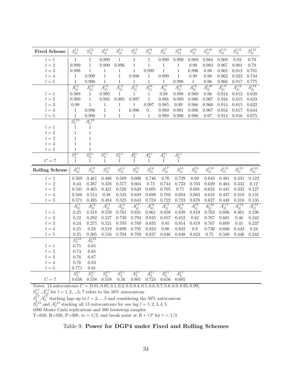<span id="page-35-0"></span>

| <b>Fixed Scheme</b>     | $S^{l,1}_{\vert t \vert}$ | $S^{l,2}_{\vert t \vert}$                   | $S^{l,3}_{\vert t \vert}$ | $S^{l,4}_{\vert t \vert}$ | $S^{l,5}_{\vert t \vert}$ | $S^{l,6}_{\vert t \vert}$ | $S^{l,7}_{\vert t \vert}$ | $S^{l,8}_{\vert t \vert}$       | $S^{l,9}_{\vert t \vert}$ | $S_{\vert t\vert}^{l,10}$ | $\overline{S^{l,11}_{ t }}$        | $S^{l,12}_{\vert t \vert}$ | $S^{l,13}_{\vert t \vert}$                                 |
|-------------------------|---------------------------|---------------------------------------------|---------------------------|---------------------------|---------------------------|---------------------------|---------------------------|---------------------------------|---------------------------|---------------------------|------------------------------------|----------------------------|------------------------------------------------------------|
| $l=1$                   | $\mathbf 1$               | $\mathbf{1}$                                | 0.999                     | $\mathbf{1}$              | $\mathbf{1}$              | 1                         | 0.999                     | 0.999                           | 0.989                     | 0.984                     | 0.969                              | 0.93                       | 0.79                                                       |
| $l=2\,$                 | 0.999                     | $\mathbf{1}$                                | 0.999                     | 0.996                     | $\,1$                     | $\,1$                     | $\,1\,$                   | $\mathbf{1}$                    | 0.98                      | 0.983                     | 0.967                              | 0.901                      | 0.78                                                       |
| $l=3$                   | 0.998                     | $\mathbf{1}$                                | $\mathbf{1}$              | $\mathbf{1}$              | $\mathbf{1}$              | 0.999                     | $\mathbf{1}$              | $\,1\,$                         | 0.996                     | 0.98                      | 0.965                              | 0.912                      | 0.781                                                      |
| $l=4$                   | 1                         | 0.999                                       | $\mathbf{1}$              | $\mathbf{1}$              | 0.998                     | $\,1$                     | 0.999                     | $\mathbf{1}$                    | 0.99                      | 0.98                      | 0.962                              | 0.923                      | 0.744                                                      |
| $l=5$                   | $\mathbf 1$               | 0.996                                       | $\mathbf{1}$              | $\mathbf{1}$              | $\mathbf{1}$              | $\mathbf{1}$              | 1                         | 0.998                           | $\mathbf{1}$              | 0.98                      | 0.966                              | 0.917                      | 0.775                                                      |
|                         | $A^{l,1}_{ t }$           | $A^{l,2}_{ t }$                             | $A^{l,3}_{\vert t \vert}$ | $A^{l,4}_{ t }$           | $A^{l,5}_{ t }$           | $A^{l,6}_{ t }$           | $A^{l,7}_{ t }$           | $A^{l,8}_{ t }$                 | $A^{l,9}_{ t }$           | $A^{l,10}_{ t }$          | $A^{l,11}_{ t }$                   | $A^{l,12}_{ t }$           | $A^{l,13}_{ t }$                                           |
| $l=1$                   | 0.989                     | 1                                           | 0.995                     | 1                         | 1                         | 1                         | 0.98                      | 0.998                           | 0.989                     | 0.96                      | 0.914                              | 0.812                      | 0.639                                                      |
| $\overline{2}$<br>$l =$ | 0.989                     | $\mathbf{1}$                                | 0.995                     | 0.995                     | 0.997                     | $\mathbf{1}$              | 0.988                     | 0.989                           | 0.986                     | 0.967                     | 0.934                              | 0.815                      | 0.633                                                      |
| $l=3$                   | 0.99                      | $\mathbf{1}$                                | $\mathbf 1$               | 1                         | $\mathbf 1$               | 0.997                     | 0.985                     | 0.99                            | 0.986                     | 0.966                     | 0.914                              | 0.815                      | 0.622                                                      |
| $l=4$                   | 1                         | 0.996                                       | $\mathbf{1}$              | $\mathbf{1}$              | 0.996                     | $0$                       | 0.989                     | 0.991                           | 0.986                     | 0.967                     | 0.954                              | 0.817                      | 0.644                                                      |
| $l=5$                   | $\mathbf{1}$              | 0.996                                       | $\mathbf{1}$              | $\mathbf{1}$              | 1                         | $\mathbf{1}$              | 0.989                     | 0.996                           | 0.986                     | 0.97                      | 0.914                              | 0.816                      | 0.675                                                      |
|                         | $S_C^{l,13}$              | $A_C^{l,13}$                                |                           |                           |                           |                           |                           |                                 |                           |                           |                                    |                            |                                                            |
| $l=1$                   | $\mathbf 1$               | $\mathbf{1}$                                |                           |                           |                           |                           |                           |                                 |                           |                           |                                    |                            |                                                            |
| $l=2$                   | $\,1$                     | $\mathbf{1}$                                |                           |                           |                           |                           |                           |                                 |                           |                           |                                    |                            |                                                            |
| $l=3$                   | $\mathbf{1}$              | $\mathbf{1}$                                |                           |                           |                           |                           |                           |                                 |                           |                           |                                    |                            |                                                            |
| $l=4$                   | $\,1$                     | $\,1$                                       |                           |                           |                           |                           |                           |                                 |                           |                           |                                    |                            |                                                            |
| $l=5$                   | $\mathbf{1}$              | $\mathbf{1}$                                |                           |                           |                           |                           |                           |                                 |                           |                           |                                    |                            |                                                            |
|                         | $S_L^{2,7}$               | $S_L^{3,7}$                                 | $S_L^{4,7}$               | $S_L^{5,7}$               | $A_L^{2,7}$               | $A_L^{3,7}$               | $A_L^{4,7}$               | $A_L^{5,7}$                     |                           |                           |                                    |                            |                                                            |
| $C=7$                   | $\mathbf{1}$              | $\mathbf 1$                                 | $\mathbf{1}$              | $1\,$                     | $\mathbf{1}$              | $\,1$                     | $\mathbf{1}$              | $\mathbf{1}$                    |                           |                           |                                    |                            |                                                            |
| <b>Rolling Scheme</b>   | $S_{ t }^{l,1}$           | $S_{\text{H}}^{l,2}$<br>$\mathcal{P}_{ t }$ | $S^{l,3}_{\vert t \vert}$ | $S^{l,4}_{\vert t \vert}$ | $S^{l,5}_{\vert t \vert}$ | $S^{l,6}_{\vert t \vert}$ | $S^{l,7}_{\vert t \vert}$ | $S^{l,8}_{\vert t \vert}$       | $S^{l,9}_{\vert t \vert}$ | $S_{\vert t\vert}^{l,10}$ | $S_{14}^{l,11}$<br>$\vert t \vert$ | $S^{l,12}_{\vert t \vert}$ | $\overline{S^{l,13}_{\mbox{\tiny L^1}}}$<br>$^{\prime} t $ |
| $l=1$                   | 0.569                     | 0.461                                       | 0.486                     | 0.589                     | 0.696                     | 0.746                     | 0.76                      | 0.729                           | 0.69                      | 0.643                     | 0.481                              | 0.331                      | 0.123                                                      |
| $l=2\,$                 | 0.44                      | 0.387                                       | 0.358                     | 0.577                     | 0.664                     | 0.73                      | 0.744                     | 0.733                           | 0.703                     | 0.629                     | 0.464                              | 0.332                      | $0.12\,$                                                   |
| $l=3$                   | 0.541                     | 0.465                                       | 0.421                     | 0.528                     | 0.649                     | 0.695                     | 0.705                     | 0.71                            | 0.691                     | 0.624                     | 0.445                              | 0.332                      | 0.127                                                      |
| $l=4$                   | 0.586                     | 0.514                                       | 0.48                      | 0.525                     | 0.639                     | 0.698                     | 0.703                     | 0.694                           | 0.663                     | 0.618                     | 0.447                              | 0.319                      | 0.131                                                      |
| $l=5$                   | 0.571                     | 0.495                                       | 0.484                     | 0.525                     | 0.643                     | 0.724                     | 0.722                     | 0.723                           | 0.678                     | 0.627                     | 0.448                              | 0.318                      | 0.135                                                      |
|                         | $A_{ t }^{l,1}$           | $A^{l,2}_{ t }$                             | $A^{l,3}_{ t }$           | $A^{l,4}_{ t }$           | $A^{l,5}_{ t }$           | $A^{l,6}_{ t }$           | $A^{l,7}_{ t }$           | $A^{l,8}_{ t }$                 | $A^{l,9}_{ t }$           | $A^{l,10}_{ t }$          | $A^{l,11}_{ t }$                   | $A^{l,12}_{ t }$           | $A^{l,13}_{ t }$                                           |
| $l=1$                   | 0.25                      | 0.318                                       | 0.559                     | 0.761                     | 0.831                     | 0.861                     | 0.858                     | 0.839                           | 0.819                     | 0.763                     | 0.606                              | 0.461                      | 0.236                                                      |
| $l=2$                   | 0.22                      | 0.292                                       | 0.527                     | 0.739                     | 0.794                     | 0.835                     | 0.857                     | 0.852                           | 0.82                      | 0.767                     | 0.601                              | 0.46                       | 0.242                                                      |
| $l=3$                   | 0.24                      | 0.275                                       | 0.521                     | 0.705                     | 0.789                     | 0.835                     | 0.85                      | 0.854                           | 0.819                     | 0.767                     | 0.609                              | 0.45                       | 0.237                                                      |
| $l = 4$                 | 0.25                      | 0.28                                        | 0.519                     | 0.699                     | 0.795                     | 0.833                     | 0.86                      | 0.842                           | $0.8\,$                   | 0.736                     | 0.606                              | 0.443                      | $0.24\,$                                                   |
| $l=5$                   | 0.25                      | 0.305                                       | 0.516                     | 0.704                     | 0.789                     | 0.837                     | 0.846                     | 0.848                           | 0.823                     | 0.75                      | 0.588                              | 0.446                      | 0.242                                                      |
|                         | $S_C^{l,13}$              | $A_C^{l,13}$                                |                           |                           |                           |                           |                           |                                 |                           |                           |                                    |                            |                                                            |
| $l=1$                   | 0.75                      | 0.85                                        |                           |                           |                           |                           |                           |                                 |                           |                           |                                    |                            |                                                            |
| $l=2$                   | 0.74                      | 0.85                                        |                           |                           |                           |                           |                           |                                 |                           |                           |                                    |                            |                                                            |
| $l=3$                   | 0.76                      | 0.87                                        |                           |                           |                           |                           |                           |                                 |                           |                           |                                    |                            |                                                            |
| $l=4$                   | 0.76                      | 0.83                                        |                           |                           |                           |                           |                           |                                 |                           |                           |                                    |                            |                                                            |
| $l=5$                   | 0.771                     | 0.81                                        |                           |                           |                           |                           |                           |                                 |                           |                           |                                    |                            |                                                            |
| ${\cal C}=7$            | $S_L^{2,7}$<br>0.656      | $S_L^{3,7}$<br>0.558                        | $S_L^{4,7}$<br>0.558      | $S_L^{5,7}$<br>0.56       | $A_L^{2,7}$<br>0.801      | $A_L^{3,7}$<br>0.724      | $A^{4,7}_L$<br>0.656      | $\overline{A_L^{5,7}}$<br>0.605 |                           |                           |                                    |                            |                                                            |

 $S_{|t|}^{l,7}, A_{|t|}^{l,7}$  for  $l = 1, 2, ...5$ ; 7 refers to the 50% autocontour.

 $S_L^{l,7}$ ,  $A_L^{l,7}$  stacking lags up to  $l = 2, \dots 5$  and considering the 50% autocontour.

 $S_C^{l,13}$  and  $A_C^{l,13}$  stacking all 13 autocontours for one lag  $l = 1, 2, 3, 4, 5$ .

1000 Monte Carlo replications and 500 bootstrap samples.

T=650, R=350, P=300,  $m = 1/3$ , and break point at  $R + \tau P$  for  $\tau = 1/3$ 

# Table 9: Power for DGP4 under Fixed and Rolling Schemes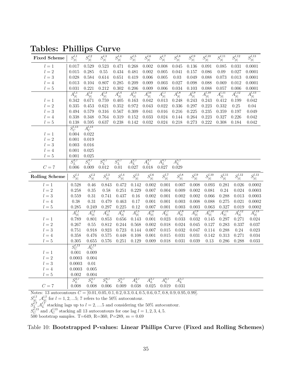| <b>Fixed Scheme</b>   | $S^{l,1}_{\vert t \vert}$ | $S^{l,2}_{\vert t \vert}$ | $S^{l,3}_{\vert t \vert}$ | $S^{l,4}_{\vert t \vert}$ | $S^{l,5}_{\vert t \vert}$           | $S^{l,6}_{\vert t \vert}$ | $S^{l,7}_{\vert t \vert}$ | $S^{l,8}_{\vert t \vert}$ | $S^{l,9}_{\vert t \vert}$ | $S_{\vert t\vert}^{l,10}$  | $S^{l,11}_{\vert t \vert}$     | $S^{l,12}_{\vert t \vert}$ | $S^{l,13}_{\vert t \vert}$ |
|-----------------------|---------------------------|---------------------------|---------------------------|---------------------------|-------------------------------------|---------------------------|---------------------------|---------------------------|---------------------------|----------------------------|--------------------------------|----------------------------|----------------------------|
| $l=1$                 | 0.017                     | 0.529                     | 0.523                     | 0.471                     | 0.268                               | 0.002                     | 0.008                     | 0.045                     | 0.136                     | 0.091                      | 0.085                          | 0.031                      | 0.0001                     |
| $l=2\,$               | 0.015                     | 0.285                     | 0.55                      | 0.434                     | 0.481                               | 0.002                     | 0.005                     | 0.041                     | 0.157                     | 0.086                      | 0.09                           | 0.027                      | 0.0001                     |
| $l=3$                 | 0.028                     | 0.584                     | 0.614                     | 0.651                     | 0.419                               | 0.006                     | 0.005                     | 0.03                      | 0.049                     | 0.088                      | 0.073                          | 0.013                      | 0.0001                     |
| $l=4$                 | 0.013                     | 0.104                     | 0.807                     | 0.285                     | 0.209                               | 0.009                     | 0.003                     | 0.027                     | 0.098                     | 0.088                      | 0.069                          | 0.012                      | 0.0001                     |
| $l=5$                 | 0.031                     | 0.221                     | 0.212                     | 0.302                     | 0.206                               | 0.009                     | 0.006                     | 0.034                     | 0.103                     | 0.088                      | 0.057                          | 0.006                      | 0.0001                     |
|                       | $A_{ t }^{l,1}$           | $A^{l,2}_{ t }$           | $A^{l,3}_{ t }$           | $A^{l,4}_{ t }$           | $A^{l,5}_{ t }$                     | $A^{l,6}_{ t }$           | $A^{l,7}_{ t }$           | $A^{l,8}_{ t }$           | $A^{l,9}_{ t }$           | $A^{l,10}_{ t }$           | $A^{l,11}_{ t }$               | $A^{l,12}_{ t }$           | $A^{l,13}_{ t }$           |
| $l=1$                 | 0.342                     | 0.671                     | 0.759                     | 0.405                     | 0.163                               | 0.042                     | 0.013                     | 0.248                     | 0.243                     | 0.243                      | $0.412\,$                      | 0.199                      | 0.042                      |
| $l=2$                 | 0.335                     | 0.453                     | 0.621                     | 0.352                     | 0.972                               | 0.043                     | 0.022                     | 0.336                     | 0.297                     | 0.223                      | 0.332                          | 0.25                       | $0.04\,$                   |
| $l=3$                 | 0.494                     | 0.579                     | 0.316                     | 0.567                     | 0.309                               | 0.041                     | 0.016                     | 0.216                     | 0.225                     | 0.235                      | 0.359                          | 0.197                      | 0.049                      |
| $l=4$                 | 0.338                     | 0.348                     | 0.764                     | 0.319                     | 0.152                               | 0.033                     | 0.024                     | 0.144                     | 0.264                     | 0.223                      | 0.327                          | 0.226                      | $\,0.042\,$                |
| $l=5$                 | 0.138                     | 0.595                     | 0.637                     | 0.238                     | 0.142                               | 0.032                     | 0.024                     | 0.218                     | 0.273                     | 0.222                      | 0.308                          | 0.184                      | 0.042                      |
|                       | $S_C^{l,13}$              | $A_C^{l,13}$              |                           |                           |                                     |                           |                           |                           |                           |                            |                                |                            |                            |
| $l=1$                 | 0.004                     | 0.022                     |                           |                           |                                     |                           |                           |                           |                           |                            |                                |                            |                            |
| $l=2$                 | 0.001                     | 0.019                     |                           |                           |                                     |                           |                           |                           |                           |                            |                                |                            |                            |
| $l=3$                 | 0.003                     | 0.016                     |                           |                           |                                     |                           |                           |                           |                           |                            |                                |                            |                            |
| $l=4$                 | 0.001                     | 0.025                     |                           |                           |                                     |                           |                           |                           |                           |                            |                                |                            |                            |
| $l=5$                 | 0.001                     | 0.025                     |                           |                           |                                     |                           |                           |                           |                           |                            |                                |                            |                            |
|                       | $S_L^{2,7}$               | $S_L^{3,7}$               | $S_L^{4,7}$               | $S_L^{5,7}$               | $A_L^{2,7}$                         | $A_L^{3,7}$               | $A_L^{4,7}$               | $A_L^{5,7}$               |                           |                            |                                |                            |                            |
| $C=7$                 | 0.006                     | 0.009                     | 0.012                     | 0.01                      | 0.027                               | 0.018                     | 0.027                     | 0.029                     |                           |                            |                                |                            |                            |
|                       |                           |                           |                           |                           |                                     |                           |                           |                           |                           |                            |                                |                            |                            |
| <b>Rolling Scheme</b> | $S^{l,1}_{\vert t \vert}$ | $S^{l,2}_{\vert t \vert}$ | $S^{l,3}_{\vert t \vert}$ | $S^{l,4}_{\vert t \vert}$ |                                     | $S^{l,6}_{\vert t \vert}$ | $S^{l,7}_{\vert t \vert}$ | $S^{l,8}_{\vert t\vert}$  | $S^{l,9}_{\vert t \vert}$ | $S^{l,10}_{\vert t \vert}$ | $\overline{S^{l,11}_+}$<br>  t | $S_{ t }^{l,12}$           | $S^{l,13}_{\vert t \vert}$ |
| $l=1$                 | 0.528                     | 0.46                      | 0.843                     | 0.472                     | $\overline{S^{l,5}_{ t }}$<br>0.142 | 0.002                     | 0.001                     | 0.007                     | 0.008                     | 0.093                      | 0.281                          | 0.026                      | 0.0002                     |
| $l=2$                 | 0.258                     | 0.35                      | 0.58                      | 0.251                     | 0.229                               | 0.007                     | 0.004                     | 0.009                     | 0.002                     | 0.081                      | 0.24                           | 0.024                      | 0.0003                     |
| $l=3$                 | 0.559                     | $0.31\,$                  | 0.741                     | 0.437                     | 0.16                                | $0.002\,$                 | 0.001                     | 0.002                     | $0.002\,$                 | 0.066                      | 0.288                          | 0.013                      | 0.0003                     |
| $l = 4$               | 0.38                      | 0.31                      | 0.479                     | 0.463                     | 0.17                                | 0.001                     | 0.001                     | 0.003                     | 0.008                     | 0.088                      | 0.275                          | 0.021                      | 0.0002                     |
| $l=5$                 | 0.285                     | 0.249                     | 0.297                     | 0.225                     | 0.12                                | 0.007                     | 0.001                     | 0.003                     | 0.003                     | 0.063                      | 0.327                          | 0.019                      | 0.0002                     |
|                       |                           |                           |                           |                           |                                     |                           |                           |                           |                           |                            |                                |                            |                            |
| $l=1$                 | $A_{ t }^{l,1}$<br>0.789  | $A^{l,2}_{ t }$<br>0.801  | $A^{l,3}_{ t }$<br>0.853  | $A_{ t }^{l,4}$<br>0.656  | $A^{l,5}_{ t }$<br>0.143            | $A^{l,6}_{ t }$<br>0.001  | $A_{ t }^{l,7}$<br>0.023  | $A^{l,8}_{ t }$<br>0.033  | $A^{l,9}_{ t }$<br>0.032  | $A^{l,10}_{ t }$<br>0.145  | $A_{ t }^{l,11}$<br>0.297      | $A^{l,12}_{ t }$<br>0.271  | $A^{l,13}_{ t }$<br>0.024  |
| $l=2$                 | 0.267                     | 0.55                      | 0.812                     | 0.244                     | 0.568                               | 0.002                     | 0.018                     | 0.024                     | 0.045                     | 0.127                      | 0.283                          | 0.337                      | 0.037                      |
| $l=3$                 | 0.751                     | 0.918                     | 0.923                     | 0.723                     | 0.144                               | 0.007                     | 0.015                     | 0.032                     | 0.047                     | 0.114                      | 0.288                          | 0.24                       | 0.023                      |
| $l=4$                 | 0.358                     | 0.476                     | 0.575                     | 0.448                     | 0.108                               | 0.001                     | 0.015                     | 0.031                     | 0.031                     | 0.142                      | 0.313                          | 0.271                      | 0.034                      |
| $l=5$                 | 0.305                     | 0.655                     | 0.576                     | 0.251                     | 0.129                               | 0.009                     | 0.018                     | 0.031                     | 0.039                     | 0.13                       | 0.286                          | 0.288                      | $\,0.033\,$                |
|                       | $S_C^{l,13}$              | $A_C^{l,13}$              |                           |                           |                                     |                           |                           |                           |                           |                            |                                |                            |                            |
| $l=1$                 | 0.001                     | 0.009                     |                           |                           |                                     |                           |                           |                           |                           |                            |                                |                            |                            |
| $l=2$                 | 0.0003                    | 0.004                     |                           |                           |                                     |                           |                           |                           |                           |                            |                                |                            |                            |
| $l=3$                 | 0.0003                    | 0.01                      |                           |                           |                                     |                           |                           |                           |                           |                            |                                |                            |                            |
| $l=4$                 | 0.0003                    | 0.005                     |                           |                           |                                     |                           |                           |                           |                           |                            |                                |                            |                            |
| $l=5$                 | 0.002                     | 0.004                     |                           |                           |                                     |                           |                           |                           |                           |                            |                                |                            |                            |
|                       | $S_L^{2,7}$               | $S_L^{3,7}$               | $S_L^{4,7}$               | $S_L^{5,7}$               | $A_L^{2,7}$                         | $A_L^{3,7}$               | $\overline{A_L^{4,7}}$    | $A_L^{5,7}$               |                           |                            |                                |                            |                            |

<span id="page-36-0"></span>Tables: Phillips Curve

 $S_{|t|}^{l,7}, A_{|t|}^{l,7}$  for  $l = 1, 2, ...5$ ; 7 refers to the 50% autocontour.

 $S_L^{l,7} A_L^{l,7}$  stacking lags up to  $l = 2, ..., 5$  and considering the 50% autocontour.

 $S_C^{l,13}$  and  $A_C^{l,13}$  stacking all 13 autocontours for one lag  $l = 1, 2, 3, 4, 5$ .

500 bootstrap samples. T=649, R=360, P=289,  $m = 0.69$ 

Table 10: Bootstrapped P-values: Linear Phillips Curve (Fixed and Rolling Schemes)